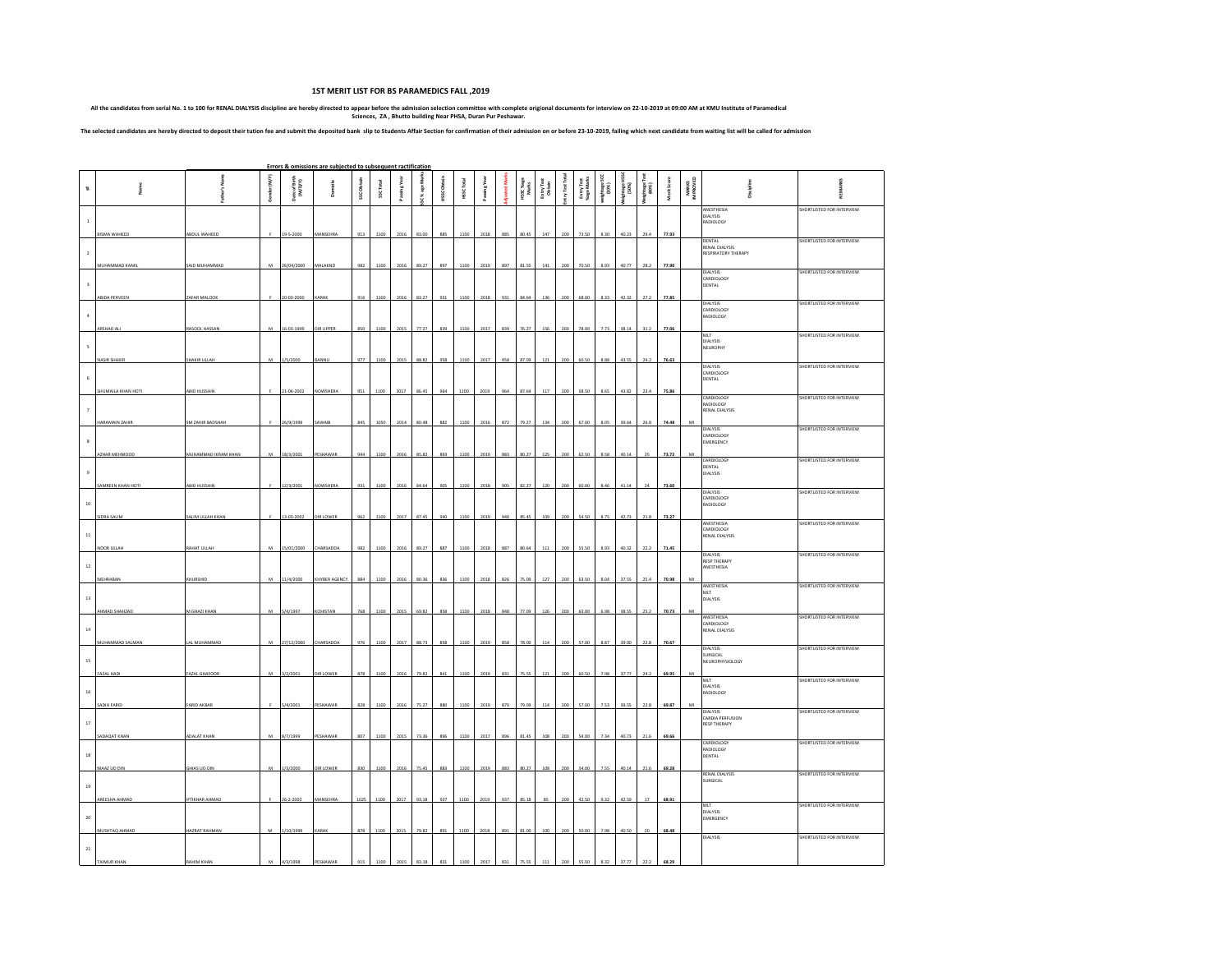## **1ST MERIT LIST FOR BS PARAMEDICS FALL ,2019**

All the candidates from serial No. 1 to 100 for RENAL DIALYSIS discipline are hereby directed to appear before the admission selection committee with complete origional documents for interview on 22-10-2019 at 09:00 AM at

The selected candidates are hereby directed to deposit their tution fee and submit the deposited bank slip to Students Affair Section for confirmation of their admission on or before 23-10-2019, failing which next candidat

|                         |                           |                      |              |                          | Errors & omissions are subjected to subsequent ractification |            |           |      |               |             |            |          |     |                   |                     |             |                         |                  |                  |                  |                    |                   |                                                     |                           |
|-------------------------|---------------------------|----------------------|--------------|--------------------------|--------------------------------------------------------------|------------|-----------|------|---------------|-------------|------------|----------|-----|-------------------|---------------------|-------------|-------------------------|------------------|------------------|------------------|--------------------|-------------------|-----------------------------------------------------|---------------------------|
| $\ddot{\phantom{a}}$    | Š                         | ţ                    | Gender (M/F) | Date of Birth<br>(M/D/Y) |                                                              | SSC Obtain | SSC Total | å    | SC % age Mari | HSSC Obtain | HSSC Total | Passing" |     | HSC %age<br>Marks | EntryTest<br>Obtain | EntryTest 1 | Entry Test<br>%age Mark | ightage<br>(10%) | phage i<br>[50%] | ightage<br>(40%) | <b>Merit Score</b> | MARKS<br>IMPROVED |                                                     |                           |
| $\,$ 1 $\,$             | <b>BISMA WAHEED</b>       | ABDUL WAHEED         |              | 19-5-2000                | MANSEHRA                                                     | 913        | 1100      | 2016 | 83.00         | 885         | 1100       | 2018     | 885 | 80.45             | 147                 | 200         | 73.50                   | 8.30             | 40.23            | 29.4             | 77.93              |                   | ANESTHESIA<br>DIALYSIS<br>ADIOLOGY                  | SHORTLISTED FOR INTERVIEW |
| $\overline{2}$          | MUHAMMAD KAMIL            | SAID MUHAMMAD        |              | 26/04/2000               | <b>MALAKNI</b>                                               | 982        | 1100      | 2016 | 89.27         |             | 110        |          | 897 |                   |                     |             |                         |                  |                  |                  | 77.90              |                   | DENTAL<br>RENAL DIALYSIS<br>RESPIRATORY THERAPY     | SHORTLISTED FOR INTERVIEW |
| $\overline{\mathbf{3}}$ | ABIDA PERVEEN             | ZAFAR MALOO          |              | 20-03-2000               | KARAB                                                        | 916        | 1100      | 2016 | 83.27         | 931         | 1100       | 2018     | 931 | 84.64             | 136                 | 200         | 68.00                   | 8.33             | 42.32            | 27.2             | 77.85              |                   | <b>DIALYSIS</b><br>CARDIOLOGY<br>DENTAL             | SHORTLISTED FOR INTERVIEW |
| $\ddot{\textbf{a}}$     | ARSHAD ALI                | RASOOL HASSAN        | M            | 16-03-1999               | DIR UPPER                                                    | 850        | 1100      | 2015 | 77.27         | 839         | 1100       | 2017     | 839 | 76.27             | 156                 | 200         | 78.00                   | 7.73             | 38.14            | 31.2             | 77.06              |                   | DIALYSIS<br>CARDIOLOGY<br>RADIOLOGY                 | SHORTLISTED FOR INTERVIEW |
| 5                       | NASIR SHAKIR              | <b>HAKIR ULLAH</b>   |              | /5/2000                  |                                                              | 977        | 1100      | 2015 | 88.82         | 958         | 1100       | 2017     | 958 | 87.09             |                     |             |                         | 8.88             | 43.55            |                  | 76.63              |                   | MLT<br>DIALYSIS<br>NEUROPHY                         | SHORTLISTED FOR INTERVIEW |
| 6                       | <b>SHUMAILA KHAN HOTI</b> | ABID HUSSAI          |              | 21-06-2002               | <b>NOWSHERA</b>                                              | 951        | 1100      | 2017 | 86.45         |             | 1100       | 2019     | 964 | 87.64             | 117                 | 200         | 58.50                   | 8.65             | 43.82            | 23.4             | 75.8               |                   | <b>DIALYSIS</b><br>CARDIOLOGY<br>DENTAL             | SHORTLISTED FOR INTERVIEW |
| $\bar{7}$               | HARAMAIN ZAHIR            | SM ZAHIR BADSHAH     |              | 26/9/1999                | SAWABI                                                       | 845        | 1050      | 2014 | 80.48         | 882         | 1100       | 2016     | 872 | 79.27             | 134                 | 200         | 67.00                   |                  | 39.64            | 26.8             | 74.48              | MI                | CARDIOLOGY<br>RADIOLOGY<br>RENAL DIALYSIS           | SHORTLISTED FOR INTERVIEW |
| $\mathbf{s}$            | AZHAR MEHMOOD             | MUHAMMAD IKRAM KHAN  | M            | 18/3/2001                | PESHAWAR                                                     | 944        | 1100      | 2016 | 85.82         | 893         | 1100       | 2019     | 883 | 80.27             | 125                 | 200         | 62.50                   | 8.58             | 40.14            |                  | 73.72              |                   | <b>DIALYSIS</b><br>CARDIOLOGY<br>EMERGENCY          | SHORTLISTED FOR INTERVIEW |
| 9                       | SAMREEN KHAN HOTI         | ABID HUSSAII         |              | 12/3/2001                | <b>NOWSHERA</b>                                              | 931        | 1100      | 2016 | 84.64         | 905         | 1100       | 2018     | 905 | 82.27             | 120                 | 200         | 60.00                   | 8.46             | 41.14            | 24               | 73.60              |                   | CARDIOLOGY<br>DENTAL<br>DIALYSIS                    | SHORTLISTED FOR INTERVIEW |
| $10\,$                  | <b>SIDRA SALIM</b>        | SALIM ULLAH KHAN     |              | 13-03-2002               | DIR LOWER                                                    | 962        | 1100      | 2017 | 87.45         | 940         | 1100       | 2019     | 940 | 85.45             | 109                 |             |                         |                  | 42.73            | 21.8             | 73.27              |                   | DIALYSIS<br>CARDIOLOGY<br><b>RADIOLOGY</b>          | SHORTLISTED FOR INTERVIEW |
| $11\,$                  | NOOR ULLAH                | <b>RAHAT ULLAH</b>   | M            | 15/01/2000               | CHARSADDA                                                    | 982        | 1100      | 2016 | 89.27         | 887         | 1100       | 2018     | 887 | 80.64             | 111                 | 200         | 55.50                   | 8.93             | 40.32            | 22.2             | 71.45              |                   | ANESTHESIA<br>CARDIOLOGY<br>RENAL DIALYSIS          | SHORTLISTED FOR INTERVIEW |
| $12\,$                  | MEHRABAN                  | KHURSHID             | M            | 11/4/2000                | KHYBER AGENCY                                                | 884        | 1100      | 2016 | 80.36         | 836         | 1100       | 2018     | 826 | 75.09             | 127                 |             | 63.50                   | 8.04             | 37.55            | 25.4             | 70.98              |                   | DIALYSIS<br><b>RESP THERAPY</b><br>ANESTHESIA       | SHORTLISTED FOR INTERVIEW |
| $13\,$                  | AHMAD SHAHZAD             | M GHAZI KHAN         | M            | 5/4/1997                 | KOHISTAN                                                     | 768        | 1100      | 2015 | 69.82         | 858         | 1100       | 2018     | 848 | 77.09             | 126                 | 200         | 63.00                   | 6.98             | 38.55            | 25.2             | 70.73              | MI                | ANESTHESIA<br>MLT<br><b>DIALYSIS</b>                | SHORTLISTED FOR INTERVIEW |
| 14                      | MUHAMMAD SALMAN           | LAL MUHAMMAD         |              | 27/12/2000               | CHARSADD                                                     | 976        | 1100      | 2017 | 88.73         |             | 1100       | 2019     | 858 | 78.00             | 114                 |             |                         |                  | 39.00            | 22.8             | 70.67              |                   | ANESTHESIA<br>CARDIOLOGY<br>RENAL DIALYSIS          | SHORTLISTED FOR INTERVIEW |
| $15\,$                  | <b>FAZAL HADI</b>         | <b>FAZAL GHAFOOR</b> | M            | 3/2/2001                 | DIR LOWER                                                    | 878        | 1100      | 2016 | 79.82         | 841         | 1100       | 2019     | 831 | 75.55             | 121                 | 200         | 60.50                   | 798              | 37.77            |                  | 69.95              |                   | DIALYSIS<br>SURGICAL<br>NEUROPHYSIOLOGY             | SHORTLISTED FOR INTERVIEW |
| $16\,$                  | SADIA FARID               | FARID AKBAR          |              | 4/2001                   | PESHAWAR                                                     |            | 1100      | 201  |               |             |            | 201      | 870 |                   | 114                 |             |                         |                  |                  |                  | 69.87              |                   | MLT<br>DIALYSIS<br>RADIOLOGY                        | SHORTLISTED FOR INTERVIEW |
| $17\,$                  | SADAQAT KHAN              | <b>ADALAT KHAN</b>   | M            | 8/7/1999                 | PESHAWAE                                                     | 807        | 1100      | 2015 | 73.36         |             | 1100       | 2017     | 896 | 81.45             | 108                 | 200         | 54.00                   | 7.34             | 40.73            | 21.6             | 69.66              |                   | DIALYSIS<br>CARDIA PERFUSION<br><b>RESP THERAPY</b> | SHORTLISTED FOR INTERVIEW |
| $^{\rm 18}$             | MAAZ UD DIN               | GHIAS UD DII         | M            | 1/3/2000                 | DIR LOWEI                                                    | 830        | 1100      | 201  |               |             |            |          | 883 | 80.27             | 108                 |             |                         |                  | 40.14            |                  | 69.                |                   | CARDIOLOGY<br>RADIOLOGY<br>DENTAL                   | SHORTLISTED FOR INTERVIEW |
| 19                      | AREESHA AHMAD             | <b>FTIKHAR AHMAD</b> |              | $6 - 2 - 2002$           | MANSEHRA                                                     | 102        | 1100      | 201  | 93.18         | 937         | 1100       |          | 937 | 85.1              |                     |             |                         |                  |                  |                  | 68.91              |                   | <b>RENAL DIALYSIS</b><br>URGICAL                    | SHORTLISTED FOR INTERVIEW |
| 20                      | MUSHTAQ AHMAD             | <b>HAZRAT RAHMAN</b> | M            | 1/10/1999                | KARAK                                                        | 878        | 1100      | 2015 | 79.82         | 891         | 1100       | 2018     | 891 | 81.00             | 100                 | 200         | 50.00                   | 7.98             | 40.50            | 20               | 68.48              |                   | MLT<br><b>DIALYSIS</b><br>MERGENCY                  | SHORTLISTED FOR INTERVIEW |
| $\bf{21}$               | <b>MALIR KHAL</b>         |                      |              |                          |                                                              |            |           |      |               |             |            |          |     |                   |                     |             |                         |                  |                  |                  |                    |                   | DIALYSIS                                            | SHORTLISTED FOR INTERVIEW |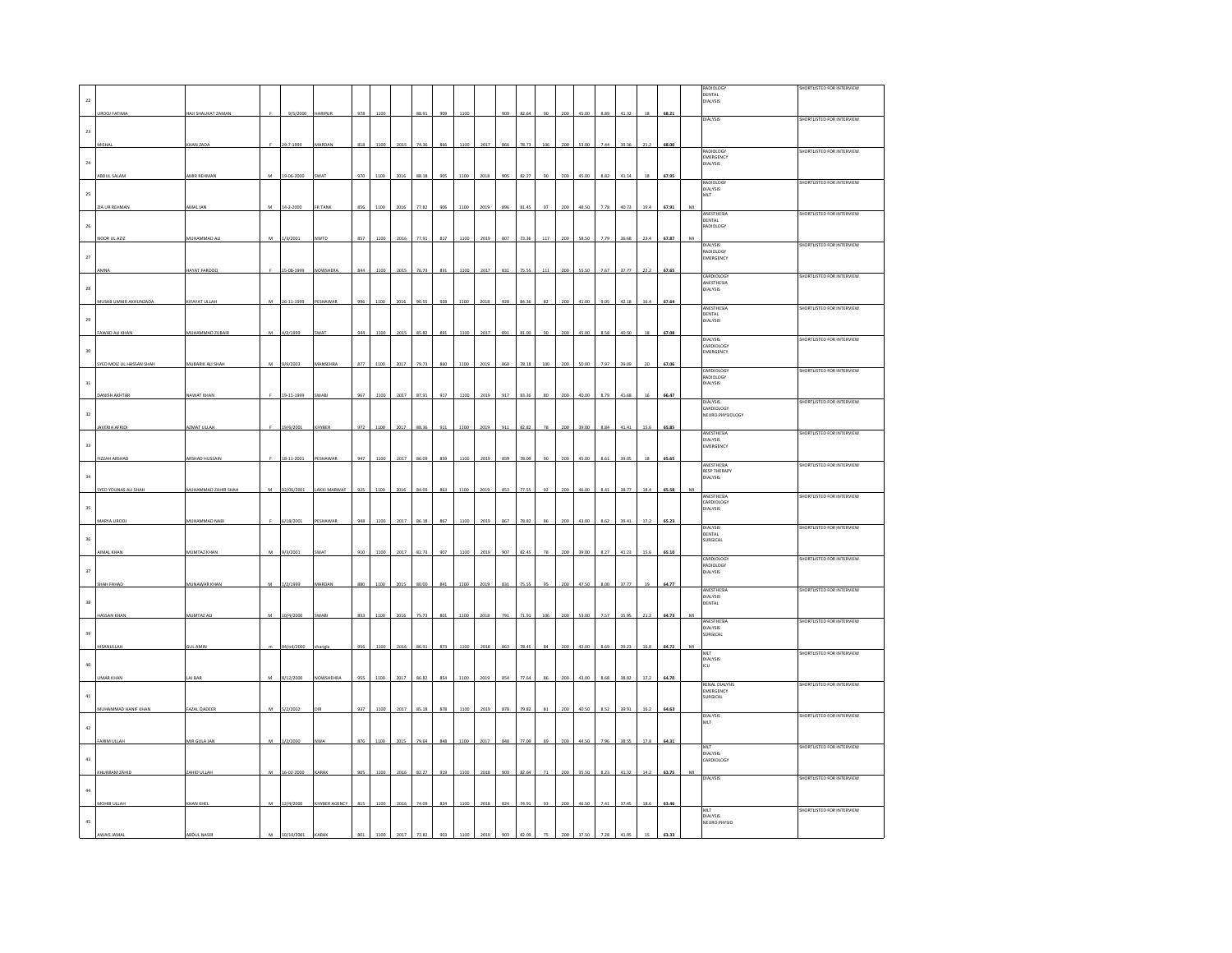|             |                          |                     |   |            |                  |     |      |      |       |     |      |      |     |       |     |     |       |      |       |        |       | RADIOLOGY                           | SHORTLISTED FOR INTERVIEW |
|-------------|--------------------------|---------------------|---|------------|------------------|-----|------|------|-------|-----|------|------|-----|-------|-----|-----|-------|------|-------|--------|-------|-------------------------------------|---------------------------|
| $\bf{22}$   |                          |                     |   |            |                  |     |      |      |       |     |      |      |     |       |     |     |       |      |       |        |       | DENTAL<br>DIALYSIS                  |                           |
|             | UROOJ FATIMA             | HAJI SHAUKAT ZAMAN  |   | 9/5/2000   | HARIPUR          | 978 | 1100 |      | 88.91 | 909 | 1100 |      | 909 | 82.64 | 90  | 200 | 45.00 | 8.89 | 41.32 | 18     | 68.21 |                                     |                           |
|             |                          |                     |   |            |                  |     |      |      |       |     |      |      |     |       |     |     |       |      |       |        |       | DIALYSIS                            | SHORTLISTED FOR INTERVIEW |
| 23          |                          |                     |   |            |                  |     |      |      |       |     |      |      |     |       |     |     |       |      |       |        |       |                                     |                           |
|             |                          | KHAN ZAD            |   | 29-7-1999  |                  | 818 |      |      |       |     |      | 2017 |     |       |     |     |       |      |       |        | 68.00 | RADIOLOGY                           | SHORTLISTED FOR INTERVIEW |
| $\bf{24}$   |                          |                     |   |            |                  |     |      |      |       |     |      |      |     |       |     |     |       |      |       |        |       | EMERGENCY<br>DIALYSIS               |                           |
|             | ABDUL SALAM              | AMIR REHMAN         | M | 19-06-200  | WA'              |     |      |      |       |     |      | 2018 |     |       |     |     |       |      |       |        | 67.9  |                                     |                           |
|             |                          |                     |   |            |                  |     |      |      |       |     |      |      |     |       |     |     |       |      |       |        |       | RADIOLOGY<br>DIALYSIS               | SHORTLISTED FOR INTERVIEW |
| $25\,$      |                          |                     |   |            |                  |     |      |      |       |     |      |      |     |       |     |     |       |      |       |        |       | MLT                                 |                           |
|             | <b>ZIA UR REHMAN</b>     | AMAL JAN            | M | 14-2-2000  | FR TANK          | 856 | 110C |      | 77.83 | on  | 1100 | 2019 | 89  | 814   |     |     | 48.50 | 7.78 | 40.73 | 19.4   | 67.91 |                                     |                           |
|             |                          |                     |   |            |                  |     |      |      |       |     |      |      |     |       |     |     |       |      |       |        |       | ANESTHESIA<br>DENTAL                | SHORTLISTED FOR INTERVIEW |
| $\bf 26$    |                          |                     |   |            |                  |     |      |      |       |     |      |      |     |       |     |     |       |      |       |        |       | ADIOLOGY                            |                           |
|             | NOOR UL AZIZ             | MUHAMMAD ALI        | M | 1/3/2001   | NWTD             | 857 | 1100 |      |       | 81  | 1100 | 2019 |     |       |     |     |       |      | 36.68 | 23.4   | 67.87 | <b>DIALYSIS</b>                     | SHORTLISTED FOR INTERVIEW |
| $\sqrt{27}$ |                          |                     |   |            |                  |     |      |      |       |     |      |      |     |       |     |     |       |      |       |        |       | RADIOLOGY<br><b>EMERGENCY</b>       |                           |
|             |                          | <b>HAYAT FAROO</b>  |   | 15-08-1999 | <b>VOWSHERA</b>  | 844 | 1100 | 2015 | 76.7  | 831 | 1100 | 2017 | 831 | 75.5  | 111 |     | 55.5  | 7.67 | 37.77 | 22.2   | 67.65 |                                     |                           |
|             |                          |                     |   |            |                  |     |      |      |       |     |      |      |     |       |     |     |       |      |       |        |       | CARDIOLOGY<br>ANESTHESIA            | SHORTLISTED FOR INTERVIEW |
| 28          |                          |                     |   |            |                  |     |      |      |       |     |      |      |     |       |     |     |       |      |       |        |       | DIALYSIS                            |                           |
|             | MUSAB UMAIR AKHUNZADA    | KIFAYAT ULLAH       |   | 26-11-1999 | ESHAWAR          |     |      |      |       | 928 |      | 2018 | 921 |       |     |     |       |      | 42.18 | 16.4   | 67.64 |                                     |                           |
|             |                          |                     |   |            |                  |     |      |      |       |     |      |      |     |       |     |     |       |      |       |        |       | ANESTHESIA<br>DENTAL                | SHORTLISTED FOR INTERVIEW |
| 29          |                          |                     |   |            |                  |     |      |      |       |     |      |      |     |       |     |     |       |      |       |        |       | <b>DIALYSIS</b>                     |                           |
|             | FAWAD ALI KHAN           | MUHAMMAD ZUBAI      | M | 4/2/1999   | WA'              | 944 | 1100 | 2015 | 85.8  | 891 | 1100 | 2017 | 891 | 81.0  |     |     | 45.00 | 8.58 | 40.50 | 18     | 67.08 | <b>DIALYSIS</b>                     | SHORTLISTED FOR INTERVIEW |
| 30          |                          |                     |   |            |                  |     |      |      |       |     |      |      |     |       |     |     |       |      |       |        |       | CARDIOLOGY                          |                           |
|             |                          |                     |   |            |                  |     |      |      |       |     |      |      |     |       |     |     |       |      |       |        |       | EMERGENCY                           |                           |
|             | SYED MOIZ UL HASSAN SHAH | MUBARIK ALI SHAH    | M | 9/9/2003   | MANSEHRA         | 877 | 1100 | 2017 | 79.73 | 860 | 1100 | 2019 | 860 | 78.18 | 100 |     | 50.00 | 7.97 | 39.09 |        | 67.06 | CARDIOLOGY                          | SHORTLISTED FOR INTERVIEW |
| $_{\rm 31}$ |                          |                     |   |            |                  |     |      |      |       |     |      |      |     |       |     |     |       |      |       |        |       | RADIOLOGY<br>DIALYSIS               |                           |
|             | <b>DANISH AKHTAR</b>     | NAWAT KHAN          |   | 19-11-1999 | SWABI            | 967 | 1100 | 2017 | 87.91 | 917 | 1100 | 2019 | 917 | 83.36 | 80  | 200 | 40.00 | 8.79 | 41.68 | $16\,$ | 66.47 |                                     |                           |
|             |                          |                     |   |            |                  |     |      |      |       |     |      |      |     |       |     |     |       |      |       |        |       | <b>DIALYSIS</b><br>CARDIOLOGY       | SHORTLISTED FOR INTERVIEW |
| 32          |                          |                     |   |            |                  |     |      |      |       |     |      |      |     |       |     |     |       |      |       |        |       | NEURO PHYSIOLOGY                    |                           |
|             | AVERIA AFRID             | AZMAT ULLAH         |   | 19/6/2001  | KHYBER           | 972 | 1100 | 2017 | 88.36 | 911 | 1100 | 2019 | 911 | 82.82 | 78  | 200 | 39.00 | 8.84 | 41.41 | 15.6   | 65.85 | ANESTHESIA                          | SHORTLISTED FOR INTERVIEW |
| 33          |                          |                     |   |            |                  |     |      |      |       |     |      |      |     |       |     |     |       |      |       |        |       | <b>DIALYSIS</b>                     |                           |
|             |                          |                     |   |            |                  |     |      |      |       |     |      |      |     |       |     |     |       |      |       |        |       | <b>EMERGENCY</b>                    |                           |
|             | FIZZAH ARSHAD            | ARSHAD HUSSAI       |   | 18-11-2001 | <b>ESHAWA</b>    |     |      |      |       |     |      | 2019 |     |       |     |     |       |      |       |        | 65.6  | ANESTHESIA                          | SHORTLISTED FOR INTERVIEW |
| $_{34}$     |                          |                     |   |            |                  |     |      |      |       |     |      |      |     |       |     |     |       |      |       |        |       | <b>RESP THERAPY</b><br>DIALYSIS     |                           |
|             | SYED YOUNAS ALI SHAH     | MUHAMMAD ZAHIR SHAH | M | 02/06/2001 | LAKKI MARWAT     | 925 | 1100 | 2016 | 84.0  | 863 | 1100 | 2019 | 853 | 77.55 | 92  |     | 46.00 | 8.41 | 38.77 | 18.4   | 65.58 |                                     |                           |
|             |                          |                     |   |            |                  |     |      |      |       |     |      |      |     |       |     |     |       |      |       |        |       | ANESTHESIA<br>CARDIOLOGY            | SHORTLISTED FOR INTERVIEW |
| $35\,$      |                          |                     |   |            |                  |     |      |      |       |     |      |      |     |       |     |     |       |      |       |        |       | DIALYSIS                            |                           |
|             | MARYA UROO.              | MUHAMMAD NAB        |   | 6/18/2001  | PESHAWA          |     |      |      |       |     |      | 2019 |     | 78.8  |     |     |       |      |       |        | 65.23 | DIALYSIS                            | SHORTLISTED FOR INTERVIEW |
| 36          |                          |                     |   |            |                  |     |      |      |       |     |      |      |     |       |     |     |       |      |       |        |       | DENTAL<br>SURGICAL                  |                           |
|             | AIMAL KHAN               | MUMTAZ KHAN         | M | 9/3/2001   | SWAT             | 910 |      |      |       | 907 |      | 2019 | 907 |       |     |     |       |      |       |        |       |                                     |                           |
|             |                          |                     |   |            |                  |     | 1100 | 2017 | 82.73 |     | 1100 |      |     | 82.4  |     |     | 39.00 | 8.27 | 41.23 | 15.6   | 65.10 | CARDIOLOGY                          | SHORTLISTED FOR INTERVIEW |
| 37          |                          |                     |   |            |                  |     |      |      |       |     |      |      |     |       |     |     |       |      |       |        |       | RADIOLOGY<br>DIALYSIS               |                           |
|             | <b>SHAH FAHAD</b>        | MUNAWAR KHAN        | M | 1/2/1999   | MARDAN           | 880 |      |      |       |     |      | 2019 |     |       |     |     |       |      | 37.77 | 19     | 64.77 |                                     |                           |
|             |                          |                     |   |            |                  |     |      |      |       |     |      |      |     |       |     |     |       |      |       |        |       | ANESTHESIA<br><b>DIALYSIS</b>       | SHORTLISTED FOR INTERVIEW |
| $_{38}$     |                          |                     |   |            |                  |     |      |      |       |     |      |      |     |       |     |     |       |      |       |        |       | <b>DENTAL</b>                       |                           |
|             | HASSAN KHAN              | MUMTAZ AL           |   | 10/4/2000  | WAE              | 833 |      |      |       |     |      | 2018 |     |       |     |     |       |      |       |        | 64.7  | ANESTHESIA                          | SHORTLISTED FOR INTERVIEW |
| 39          |                          |                     |   |            |                  |     |      |      |       |     |      |      |     |       |     |     |       |      |       |        |       | DIALYSIS<br>SURGICAL                |                           |
|             | <b>IHSANULLAH</b>        | <b>GUL AMIN</b>     |   | 04/o4/2000 |                  | 956 | 1100 |      | 86.9  | 873 | 1100 | 2018 | 863 | 78.4  |     |     | 42.00 | 8.65 | 39.23 | 16.8   | 64.7  |                                     |                           |
|             |                          |                     |   |            |                  |     |      |      |       |     |      |      |     |       |     |     |       |      |       |        |       | MLT<br><b>DIALYSIS</b>              | SHORTLISTED FOR INTERVIEW |
| $40\,$      |                          |                     |   |            |                  |     |      |      |       |     |      |      |     |       |     |     |       |      |       |        |       | ιcυ                                 |                           |
|             | UMAR KHAN                | AJ BAR              |   | 8/12/2000  | <b>VOWSHEHRA</b> | 955 | 1100 | 2017 | 86.82 | 854 | 1100 | 2019 | 854 | 77.64 |     |     | 43.00 | 8.68 | 38.82 | 17.2   | 64.70 |                                     |                           |
|             |                          |                     |   |            |                  |     |      |      |       |     |      |      |     |       |     |     |       |      |       |        |       | <b>RENAL DIALYSIS</b><br>EMERGENCY  | SHORTLISTED FOR INTERVIEW |
| $41\,$      |                          |                     |   |            |                  |     |      |      |       |     |      |      |     |       |     |     |       |      |       |        |       | SURGICAL                            |                           |
|             | MUHAMMAD HANIF KHAN      | FAZAL QADEER        | M | 5/2/2002   |                  | 937 | 1100 | 2017 | 85.18 | 878 | 1100 | 2019 | 878 | 79.82 |     |     | 40.50 | 8.52 | 39.91 | 16.2   | 64.63 | DIALYSIS                            | SHORTLISTED FOR INTERVIEW |
| $42\,$      |                          |                     |   |            |                  |     |      |      |       |     |      |      |     |       |     |     |       |      |       |        |       | MLT                                 |                           |
|             | FAHIM ULLAH              | MIR GULA JAN        | M | 12/2000    |                  |     |      |      |       |     |      | 2017 |     |       |     |     |       |      |       | 17.8   | 64.33 |                                     |                           |
|             |                          |                     |   |            |                  |     |      |      |       |     |      |      |     |       |     |     |       |      |       |        |       | MLT                                 | SHORTLISTED FOR INTERVIEW |
| 43          |                          |                     |   |            |                  |     |      |      |       |     |      |      |     |       |     |     |       |      |       |        |       | <b>DIALYSIS</b><br><b>ARDIOLOGY</b> |                           |
|             | KHURRAM ZAHID            | ZAHID ULLAH         | M | 16-02-2000 | KARAK            | 905 | 1100 | 2016 | 82.27 | 919 | 1100 | 2018 | 909 | 82.64 | 71  |     | 35.50 | 8.23 | 41.32 | 14.2   | 63.75 |                                     |                           |
|             |                          |                     |   |            |                  |     |      |      |       |     |      |      |     |       |     |     |       |      |       |        |       | <b>DIALYSIS</b>                     | SHORTLISTED FOR INTERVIEW |
| $_{\rm 44}$ |                          |                     |   |            |                  |     |      |      |       |     |      |      |     |       |     |     |       |      |       |        |       |                                     |                           |
|             | MOHIB ULLAH              | KHAN KHEL           | M | 12/4/2000  | KHYBER AGENCY    | 815 | 1100 | 2016 | 74.09 | 824 | 1100 | 2018 | 824 | 74.91 |     |     | 46.50 | 7.41 | 37.45 | 18.6   | 63.46 | MLT                                 | SHORTLISTED FOR INTERVIEW |
| $\bf 45$    |                          |                     |   |            |                  |     |      |      |       |     |      |      |     |       |     |     |       |      |       |        |       | <b>DIALYSIS</b><br>NEURO PHYSIO     |                           |
|             |                          |                     |   |            |                  |     |      |      |       |     |      |      |     |       |     |     |       |      |       |        |       |                                     |                           |
|             |                          |                     |   |            |                  |     |      |      |       |     |      |      |     |       |     |     |       |      |       |        |       |                                     |                           |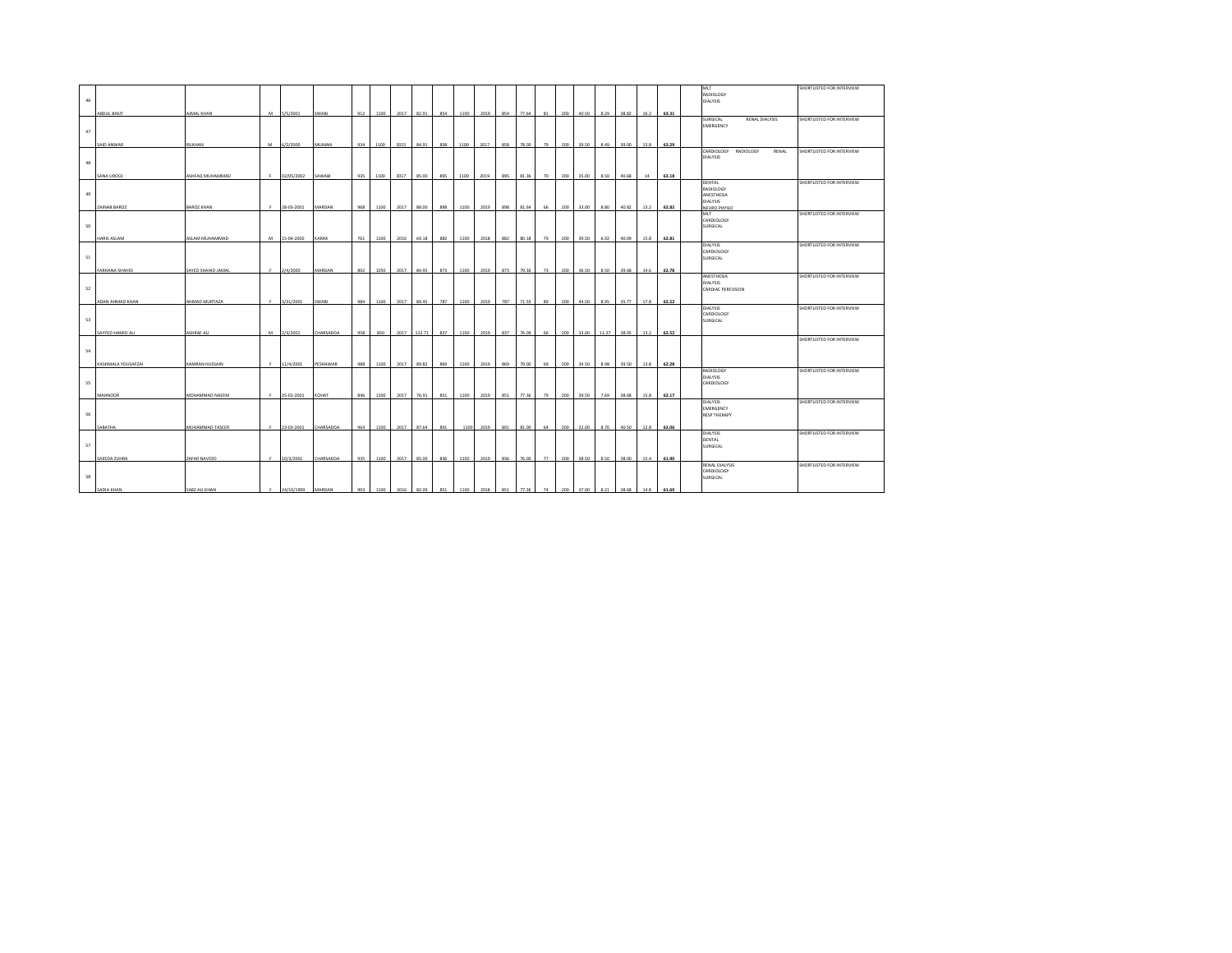|    |                    |                    |                     |              |     |      |      |        |     |      |           |     |           |    |     |       |                |       |      |       | MLT                                          | SHORTLISTED FOR INTERVIEW |
|----|--------------------|--------------------|---------------------|--------------|-----|------|------|--------|-----|------|-----------|-----|-----------|----|-----|-------|----------------|-------|------|-------|----------------------------------------------|---------------------------|
| 46 |                    |                    |                     |              |     |      |      |        |     |      |           |     |           |    |     |       |                |       |      |       | RADIOLOGY<br>DIALYSIS                        |                           |
|    |                    |                    |                     |              |     |      |      |        |     |      |           |     |           |    |     |       |                |       |      |       |                                              |                           |
|    | <b>ABDUL BASIT</b> | AIMAL KHAN         | M 5/5/2001          | <b>SWABI</b> | 912 | 1100 | 2017 | 82.91  | 854 | 1100 | 2019      | 854 | 77.64     | 81 | 200 | 40.50 | 8.29           | 38.82 | 16.2 | 63.31 |                                              |                           |
|    |                    |                    |                     |              |     |      |      |        |     |      |           |     |           |    |     |       |                |       |      |       | SURGICAL<br>RENAL DIALYSIS<br>EMERGENCY      | SHORTLISTED FOR INTERVIEW |
| 47 |                    |                    |                     |              |     |      |      |        |     |      |           |     |           |    |     |       |                |       |      |       |                                              |                           |
|    |                    |                    |                     |              |     |      |      |        |     |      |           |     |           |    |     |       |                |       |      |       |                                              |                           |
|    | SAID ANWAR         | RUKHAN             | M 6/2/2000          | <b>MUMAN</b> | 934 | 1100 | 2015 | 84.91  | 858 | 1100 | 2017      | 858 | 78.00     | 79 | 200 | 39.50 | 8.49           | 39.00 | 15.8 | 63.29 |                                              |                           |
|    |                    |                    |                     |              |     |      |      |        |     |      |           |     |           |    |     |       |                |       |      |       | CARDIOLOGY<br>RADIOLOGY<br>RENAL<br>DIALYSIS | SHORTLISTED FOR INTERVIEW |
| 48 |                    |                    |                     |              |     |      |      |        |     |      |           |     |           |    |     |       |                |       |      |       |                                              |                           |
|    |                    |                    |                     |              |     |      |      |        |     |      |           |     |           |    |     |       |                |       |      |       |                                              |                           |
|    | SANA UROOJ         | SHFAQ MUHAMMAD     | 02/05/2002          | SAWABI       | 935 | 1100 | 2017 | 85.00  | 895 | 1100 | 2019      | 895 | 81.36     | 70 | 200 | 35.00 | 8.50           | 40.68 | 14   | 63.18 |                                              |                           |
|    |                    |                    |                     |              |     |      |      |        |     |      |           |     |           |    |     |       |                |       |      |       | DENTAL<br>RADIOLOGY                          | SHORTLISTED FOR INTERVIEW |
| 49 |                    |                    |                     |              |     |      |      |        |     |      |           |     |           |    |     |       |                |       |      |       | ANESTHESIA                                   |                           |
|    |                    |                    |                     |              |     |      |      |        |     |      |           |     |           |    |     |       |                |       |      |       | <b>DIALYSIS</b>                              |                           |
|    | ZAINAB BAROZ       | BAROZ KHAN         | F 28-03-2001        | MARDAN       | 968 | 1100 | 2017 | 88.00  | 898 | 1100 | 2019      | 898 | 81.64     | 66 | 200 | 33.00 | 8.80           | 40.82 | 13.2 | 62.82 | <b>NEURO PHYSIO</b>                          |                           |
|    |                    |                    |                     |              |     |      |      |        |     |      |           |     |           |    |     |       |                |       |      |       | MLT<br>CARDIOLOGY                            | SHORTLISTED FOR INTERVIEW |
| 50 |                    |                    |                     |              |     |      |      |        |     |      |           |     |           |    |     |       |                |       |      |       | SURGICAL                                     |                           |
|    |                    |                    |                     |              |     |      |      |        |     |      |           |     |           |    |     |       |                |       |      |       |                                              |                           |
|    | HARIS ASLAM        | ASLAM MUHAMMAD     | M 15-04-2000        | <b>KARAK</b> | 761 | 1100 | 2016 | 69.18  | 882 | 1100 | 2018      | 882 | 80.18     | 79 | 200 | 39.50 | 6.92           | 40.09 | 15.8 | 62.81 |                                              |                           |
|    |                    |                    |                     |              |     |      |      |        |     |      |           |     |           |    |     |       |                |       |      |       | DIALYSIS<br>CARDIOLOGY                       | SHORTLISTED FOR INTERVIEW |
| 51 |                    |                    |                     |              |     |      |      |        |     |      |           |     |           |    |     |       |                |       |      |       | SURGICAL                                     |                           |
|    |                    |                    |                     |              |     |      |      |        |     |      |           |     |           |    |     |       |                |       |      |       |                                              |                           |
|    | FARHANA SHAHID     | SAYED SHAHID JAMAL | $F = 2/4/2000$      | MARDAN       | 892 | 1050 | 2017 | 84.95  | 873 | 1100 | 2019      | 873 | 79.36     | 73 | 200 | 36.50 | 8.50           | 39.68 | 14.6 | 62.78 |                                              |                           |
|    |                    |                    |                     |              |     |      |      |        |     |      |           |     |           |    |     |       |                |       |      |       | ANESTHESIA<br>DIALYSIS                       | SHORTLISTED FOR INTERVIEW |
| 52 |                    |                    |                     |              |     |      |      |        |     |      |           |     |           |    |     |       |                |       |      |       | CARDIAC PERFUSION                            |                           |
|    |                    |                    |                     |              |     |      |      |        |     |      |           |     |           |    |     |       |                |       |      |       |                                              |                           |
|    | ADAN AHMAD KHAN    | AHMAD MURTAZA      | F 3/31/2001         | <b>SWABI</b> | 984 | 1100 | 2017 | 89.45  | 787 | 1100 | 2019      | 787 | 71.55     | 89 | 200 | 44.50 | 8.95           | 35.77 | 17.8 | 62.52 |                                              |                           |
|    |                    |                    |                     |              |     |      |      |        |     |      |           |     |           |    |     |       |                |       |      |       | DIALYSIS<br>CARDIOLOGY                       | SHORTLISTED FOR INTERVIEW |
| 53 |                    |                    |                     |              |     |      |      |        |     |      |           |     |           |    |     |       |                |       |      |       | SURGICAL                                     |                           |
|    |                    |                    |                     |              |     |      |      |        |     |      |           |     |           |    |     |       |                |       |      |       |                                              |                           |
|    | SAYYED HAMID ALI   | ASHRAF ALI         | M 2/3/2001          | CHARSADDA    | 958 | 850  | 2017 | 112.71 | 837 | 1100 | 2019      | 837 | 76.09     | 66 | 200 | 33.00 | 11.27          | 38.05 | 13.2 | 62.52 |                                              | SHORTLISTED FOR INTERVIEW |
|    |                    |                    |                     |              |     |      |      |        |     |      |           |     |           |    |     |       |                |       |      |       |                                              |                           |
| 54 |                    |                    |                     |              |     |      |      |        |     |      |           |     |           |    |     |       |                |       |      |       |                                              |                           |
|    |                    |                    |                     |              |     |      |      |        |     |      |           |     |           |    |     |       |                |       |      |       |                                              |                           |
|    | KASHMALA YOUSAFZAI | KAMRAN HUSSAIN     | $F = 11/4/2001$     | PESHAWAR     | 988 | 1100 | 2017 | 89.82  | 869 | 1100 | 2019      | 869 | 79.00     | 69 | 200 | 34.50 | 8.98           | 39.50 | 13.8 | 62.28 | RADIOLOGY                                    | SHORTLISTED FOR INTERVIEW |
|    |                    |                    |                     |              |     |      |      |        |     |      |           |     |           |    |     |       |                |       |      |       | DIALYSIS                                     |                           |
| 55 |                    |                    |                     |              |     |      |      |        |     |      |           |     |           |    |     |       |                |       |      |       | CARDIOLOGY                                   |                           |
|    | <b>MAHNOOR</b>     | MOHAMMAD NAEEM     |                     |              |     |      |      |        |     |      |           |     | 77.36     |    |     |       |                | 38.68 |      |       |                                              |                           |
|    |                    |                    | F 25-01-2001        | KOHAT        | 846 | 1100 | 2017 | 76.91  | 851 | 1100 | 2019      | 851 |           | 79 | 200 | 39.50 | 7.69           |       | 15.8 | 62.17 | DIALYSIS                                     | SHORTLISTED FOR INTERVIEW |
|    |                    |                    |                     |              |     |      |      |        |     |      |           |     |           |    |     |       |                |       |      |       | EMERGENCY                                    |                           |
| 56 |                    |                    |                     |              |     |      |      |        |     |      |           |     |           |    |     |       |                |       |      |       | <b>RESP THERAPY</b>                          |                           |
|    | SABATHA            | MUHAMMAD TASEER    | F 23-03-2001        | CHARSADDA    | 964 |      |      | 87.64  | 891 | 1100 |           | 891 | 81.00     | 64 | 200 | 32.00 | 8.76           | 40.50 |      | 62.06 |                                              |                           |
|    |                    |                    |                     |              |     | 1100 | 2017 |        |     |      | 2019      |     |           |    |     |       |                |       | 12.8 |       | DIALYSIS                                     | SHORTLISTED FOR INTERVIEW |
|    |                    |                    |                     |              |     |      |      |        |     |      |           |     |           |    |     |       |                |       |      |       | DENTAL                                       |                           |
| 57 |                    |                    |                     |              |     |      |      |        |     |      |           |     |           |    |     |       |                |       |      |       | SURGICAL                                     |                           |
|    | SAEEDA ZUHRA       | ZAFAR NAVEED       | F 10/3/2001         | CHARSADDA    | 935 | 1100 | 2017 | 85.00  | 836 | 1100 | 2019      | 836 | 76.00     | 77 | 200 | 38.50 | 8.50           | 38.00 | 15.4 | 61.90 |                                              |                           |
|    |                    |                    |                     |              |     |      |      |        |     |      |           |     |           |    |     |       |                |       |      |       | <b>RENAL DIALYSIS</b>                        | SHORTLISTED FOR INTERVIEW |
|    |                    |                    |                     |              |     |      |      |        |     |      |           |     |           |    |     |       |                |       |      |       | CARDIOLOGY                                   |                           |
| 58 |                    |                    |                     |              |     |      |      |        |     |      |           |     |           |    |     |       |                |       |      |       | SURGICAL                                     |                           |
|    | SADIA KHAN         | SABZ ALI KHAN      | F 24/10/1999 MARDAN |              | 903 | 1100 | 2016 | 82.09  | 851 |      | 1100 2018 |     | 851 77.36 | 74 |     |       | 200 37.00 8.21 | 38.68 | 14.8 | 61.69 |                                              |                           |
|    |                    |                    |                     |              |     |      |      |        |     |      |           |     |           |    |     |       |                |       |      |       |                                              |                           |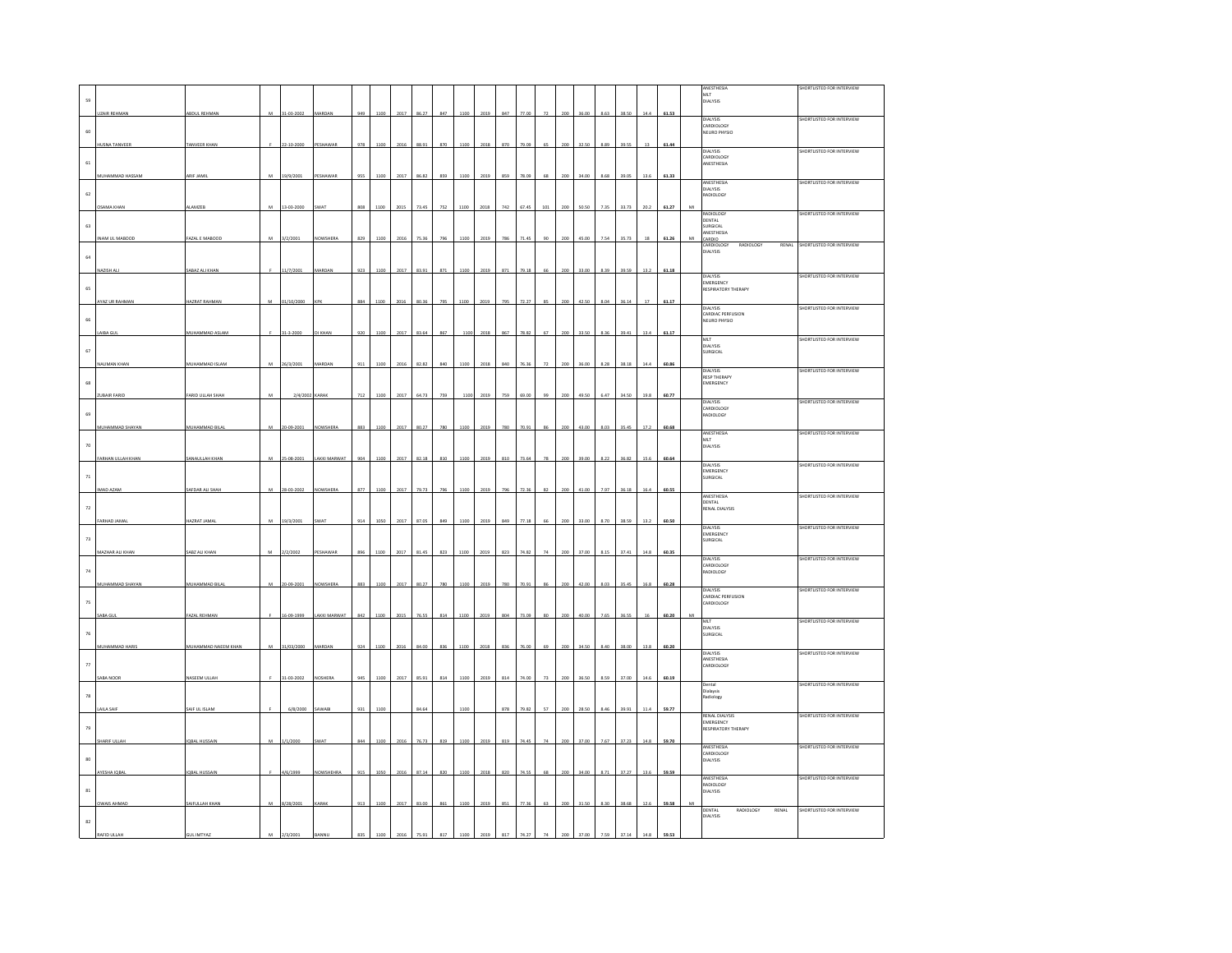|                      |                      |                      |           |                 |                  |         |      |      |       |     |      |      |     |       |                      |     |       |      |       |      |       | ANESTHESIA                          | SHORTLISTED FOR INTERVIEW       |
|----------------------|----------------------|----------------------|-----------|-----------------|------------------|---------|------|------|-------|-----|------|------|-----|-------|----------------------|-----|-------|------|-------|------|-------|-------------------------------------|---------------------------------|
| 59                   |                      |                      |           |                 |                  |         |      |      |       |     |      |      |     |       |                      |     |       |      |       |      |       | MLT<br>DIALYSIS                     |                                 |
|                      | <b>UZAIR REHMAN</b>  | ABDUL REHMAN         | ${\bf M}$ | 31-03-2002      | MARDAN           | 949     | 1100 | 2017 | 86.27 | 847 | 1100 | 2019 | 847 | 77.00 | $\scriptstyle\rm 72$ | 200 | 36.00 | 8.63 | 38.50 | 14.4 | 61.53 |                                     |                                 |
|                      |                      |                      |           |                 |                  |         |      |      |       |     |      |      |     |       |                      |     |       |      |       |      |       | DIALYSIS<br>CARDIOLOGY              | SHORTLISTED FOR INTERVIEW       |
| 60                   |                      |                      |           |                 |                  |         |      |      |       |     |      |      |     |       |                      |     |       |      |       |      |       | NEURO PHYSIO                        |                                 |
|                      | HUSNA TANVEER        | <b>TANVEER KHA</b>   |           | 22-10-2000      | <b>PESHAWA</b>   | 978     |      |      |       |     |      | 2018 | 87  |       |                      |     |       |      |       | 13   | 61.4  |                                     |                                 |
|                      |                      |                      |           |                 |                  |         |      |      |       |     |      |      |     |       |                      |     |       |      |       |      |       | DIALYSIS<br>CARDIOLOGY              | SHORTLISTED FOR INTERVIEW       |
| $61\,$               |                      |                      |           |                 |                  |         |      |      |       |     |      |      |     |       |                      |     |       |      |       |      |       | ANESTHESIA                          |                                 |
|                      | MUHAMMAD HASSAM      | ARIF JAM             | M         | 19/9/2001       | <b>ESHAW</b>     |         |      |      |       |     |      | 201  |     |       |                      |     |       |      |       | 13.6 | 61.3  |                                     |                                 |
|                      |                      |                      |           |                 |                  |         |      |      |       |     |      |      |     |       |                      |     |       |      |       |      |       | <b>ANESTHESIA</b><br>DIALYSIS       | SHORTLISTED FOR INTERVIEW       |
| 62                   |                      |                      |           |                 |                  |         |      |      |       |     |      |      |     |       |                      |     |       |      |       |      |       | RADIOLOGY                           |                                 |
|                      | <b>OSAMA KHAN</b>    | <b>ALAMZER</b>       | M         | 13-03-2000      | <b>SWAT</b>      | 808     | 110  |      |       |     | 1100 | 2018 | 74  | 67.4  |                      |     | 50.50 | 7.35 | 33.73 | 20.2 | 61.27 |                                     |                                 |
|                      |                      |                      |           |                 |                  |         |      |      |       |     |      |      |     |       |                      |     |       |      |       |      |       | RADIOLOGY<br>DENTAL                 | SHORTLISTED FOR INTERVIEW       |
| 63                   |                      |                      |           |                 |                  |         |      |      |       |     |      |      |     |       |                      |     |       |      |       |      |       | SURGICAL<br>ANESTHESIA              |                                 |
|                      | INAM UL MABOOD       | FAZAL E MABOOD       |           | 3/2/2001        | <b>VOWSHERA</b>  | 829     | 1100 |      |       |     | 110  | 2019 |     |       |                      |     |       |      | 35.73 |      | 61.2  | CARDIO<br>CARDIOLOGY RADIOLOGY      | RENAL SHORTLISTED FOR INTERVIEW |
|                      |                      |                      |           |                 |                  |         |      |      |       |     |      |      |     |       |                      |     |       |      |       |      |       | .<br>DIALYSIS                       |                                 |
| 64                   |                      |                      |           |                 |                  |         |      |      |       |     |      |      |     |       |                      |     |       |      |       |      |       |                                     |                                 |
|                      | AZISH ALI            | ABAZ ALI KHAM        |           | 11/7/2001       | MARDAN           | 923     | 1100 | 2017 | 83.9  | 871 | 1100 | 2019 | 871 | 79.18 |                      |     | 33.00 | 8.39 | 39.59 | 13.2 | 61.18 | DIALYSIS                            | SHORTLISTED FOR INTERVIEW       |
| 65                   |                      |                      |           |                 |                  |         |      |      |       |     |      |      |     |       |                      |     |       |      |       |      |       | <b>EMERGENCY</b>                    |                                 |
|                      |                      |                      |           |                 |                  |         |      |      |       |     |      |      |     |       |                      |     |       |      |       |      |       | RESPIRATORY THERAPY                 |                                 |
|                      | <b>YAZ UR RAHMAN</b> | AZRAT RAHMAN         |           | 1/10/2000       |                  | 884     |      |      |       |     |      | 2019 |     |       |                      |     |       |      |       |      | 61.17 | DIALYSIS                            | SHORTLISTED FOR INTERVIEW       |
| 66                   |                      |                      |           |                 |                  |         |      |      |       |     |      |      |     |       |                      |     |       |      |       |      |       | CARDIAC PERFUSION<br>NEURO PHYSIO   |                                 |
|                      |                      |                      |           |                 |                  |         |      |      |       |     |      |      |     |       |                      |     |       |      |       |      |       |                                     |                                 |
|                      | AIBA GUI             | MUHAMMAD ASLAM       |           | 31-3-2000       | <b>I KHAN</b>    | 920     | 1100 | 2017 | 83.6  | 867 | 110  | 2018 | 867 | 78.82 |                      |     | 33.50 | 8.36 | 39.41 | 13.4 | 61.17 | MLT                                 | SHORTLISTED FOR INTERVIEW       |
| $\mathbf{67}$        |                      |                      |           |                 |                  |         |      |      |       |     |      |      |     |       |                      |     |       |      |       |      |       | DIALYSIS<br>SURGICAL                |                                 |
|                      | NAUMAN KHAN          | MUHAMMAD ISLAM       | M         | 26/3/2001       | MARDAN           | 911     | 1100 | 2016 | 82.82 | 840 | 1100 | 2018 | 840 |       |                      |     | 36.00 | 8.28 | 38.18 | 14.4 | 60.86 |                                     |                                 |
|                      |                      |                      |           |                 |                  |         |      |      |       |     |      |      |     |       |                      |     |       |      |       |      |       | DIALYSIS<br><b>RESP THERAPY</b>     | SHORTLISTED FOR INTERVIEW       |
| $_{\rm 68}$          |                      |                      |           |                 |                  |         |      |      |       |     |      |      |     |       |                      |     |       |      |       |      |       | EMERGENCY                           |                                 |
|                      | ZUBAIR FARID         | FARID ULLAH SHAH     | M         | 2/4/2002 KARAK  |                  | $712\,$ | 1100 | 2017 | 64.73 | 759 | 1100 | 2019 | 759 | 69.00 | 99                   | 200 | 49.50 | 6.47 | 34.50 | 19.8 | 60.77 |                                     |                                 |
|                      |                      |                      |           |                 |                  |         |      |      |       |     |      |      |     |       |                      |     |       |      |       |      |       | <b>DIALYSIS</b><br>CARDIOLOGY       | SHORTLISTED FOR INTERVIEW       |
| 69                   |                      |                      |           |                 |                  |         |      |      |       |     |      |      |     |       |                      |     |       |      |       |      |       | RADIOLOGY                           |                                 |
|                      | MUHAMMAD SHAYAN      | MUHAMMAD BILAI       | M         | 20-09-2001      | NOWSHERA         | 883     | 1100 | 2017 | 80.27 | 780 | 1100 | 2019 | 780 | 70.91 | 86                   | 200 | 43.00 | 8.03 | 35.45 | 17.2 | 60.68 |                                     |                                 |
|                      |                      |                      |           |                 |                  |         |      |      |       |     |      |      |     |       |                      |     |       |      |       |      |       | ANESTHESIA<br>MLT                   | SHORTLISTED FOR INTERVIEW       |
| $70\,$               |                      |                      |           |                 |                  |         |      |      |       |     |      |      |     |       |                      |     |       |      |       |      |       | DIALYSIS                            |                                 |
|                      | FARHAN ULLAH KHAN    | SANAULLAH KHAI       | M         | 25-08-200       | AKKI MARWA       |         |      |      |       |     |      | 2019 |     |       |                      |     |       |      |       | 15.6 | 60.6  |                                     |                                 |
|                      |                      |                      |           |                 |                  |         |      |      |       |     |      |      |     |       |                      |     |       |      |       |      |       | <b>DIALYSIS</b><br><b>EMERGENCY</b> | SHORTLISTED FOR INTERVIEW       |
| $\scriptstyle\rm 71$ |                      |                      |           |                 |                  |         |      |      |       |     |      |      |     |       |                      |     |       |      |       |      |       | SURGICAL                            |                                 |
|                      | IMAD AZAM            | SAFDAR ALI SHAH      | M         | 28-03-2002      | NOWSHERA         | 877     | 1100 | 2017 | 79.73 | 796 | 1100 | 2019 | 796 | 72.36 | 82                   |     | 41.00 | 7.97 | 36.18 | 16.4 | 60.55 | ANESTHESIA                          | SHORTLISTED FOR INTERVIEW       |
|                      |                      |                      |           |                 |                  |         |      |      |       |     |      |      |     |       |                      |     |       |      |       |      |       | <b>DENTAL</b>                       |                                 |
| $\scriptstyle\rm 72$ |                      |                      |           |                 |                  |         |      |      |       |     |      |      |     |       |                      |     |       |      |       |      |       | RENAL DIALYSIS                      |                                 |
|                      | ARHAD JAMA           | <b>HAZRAT JAMA</b>   |           | 9/3/2001        |                  |         |      |      |       |     |      | 2019 |     |       |                      |     |       |      |       | 13.2 | 60.50 | DIALYSIS                            | SHORTLISTED FOR INTERVIEW       |
| $73$                 |                      |                      |           |                 |                  |         |      |      |       |     |      |      |     |       |                      |     |       |      |       |      |       | EMERGENCY<br>SURGICAL               |                                 |
|                      |                      |                      |           |                 |                  |         |      |      |       |     |      |      |     |       |                      |     |       |      |       |      |       |                                     |                                 |
|                      | MAZHAR ALI KHAN      | SABZ ALL KHAN        | M         | 2/2/2002        | PESHAWAR         | 896     | 1100 | 2017 | 81.4  | 823 | 1100 | 2019 | 823 | 74.82 |                      |     | 37.00 |      | 37.41 | 14.8 | 60.35 | <b>DIALYSIS</b>                     | SHORTLISTED FOR INTERVIEW       |
| 74                   |                      |                      |           |                 |                  |         |      |      |       |     |      |      |     |       |                      |     |       |      |       |      |       | CARDIOLOGY<br>RADIOLOGY             |                                 |
|                      | MUHAMMAD SHAYAN      | MUHAMMAD BILA        | M         | 20-09-2001      | VOWSHERA         | 883     | 1100 |      |       |     |      | 2019 |     |       |                      |     |       |      |       | 16.8 | 60.28 |                                     |                                 |
|                      |                      |                      |           |                 |                  |         |      |      |       |     |      |      |     |       |                      |     |       |      |       |      |       | DIALYSIS                            | SHORTLISTED FOR INTERVIEW       |
| $75\,$               |                      |                      |           |                 |                  |         |      |      |       |     |      |      |     |       |                      |     |       |      |       |      |       | CARDIAC PERFUSION<br>CARDIOLOGY     |                                 |
|                      | SABA GU              | FAZAL REHMA          |           | $6 - 09 - 1999$ | AKKI MARWAT      | 842     |      |      |       | 81  |      | 2019 |     |       |                      |     |       |      |       |      |       |                                     |                                 |
|                      |                      |                      |           |                 |                  |         |      |      |       |     |      |      |     |       |                      |     |       |      |       |      |       | MLT                                 | SHORTLISTED FOR INTERVIEW       |
| $76\,$               |                      |                      |           |                 |                  |         |      |      |       |     |      |      |     |       |                      |     |       |      |       |      |       | DIALYSIS<br>SURGICAL                |                                 |
|                      | MUHAMMAD HARIS       | MUHAMMAD NAEEM KHAN  | M         | 31/03/2000      | MARDAN           | 924     | 1100 |      | 84.0  | 838 |      | 2018 | 83  |       |                      |     |       |      | 38.00 | 13.8 | 60.20 |                                     |                                 |
|                      |                      |                      |           |                 |                  |         |      |      |       |     |      |      |     |       |                      |     |       |      |       |      |       | dialysis<br>ANESTHESIA              | SHORTLISTED FOR INTERVIEW       |
| $_{\rm 77}$          |                      |                      |           |                 |                  |         |      |      |       |     |      |      |     |       |                      |     |       |      |       |      |       | CARDIOLOGY                          |                                 |
|                      | ABA NOOR             | NASEEM ULLAH         |           | 31-03-2002      | <b>IOSHERA</b>   | 945     | 1100 | 2017 | 85.91 | 814 | 1100 | 2019 | 814 | 74.00 |                      |     |       | 8.59 | 37.00 | 14.6 | 60.19 | Dental                              | SHORTLISTED FOR INTERVIEW       |
|                      |                      |                      |           |                 |                  |         |      |      |       |     |      |      |     |       |                      |     |       |      |       |      |       | Dialaysis                           |                                 |
| $\bf 78$             |                      |                      |           |                 |                  |         |      |      |       |     |      |      |     |       |                      |     |       |      |       |      |       | Radiology                           |                                 |
|                      | LAILA SAIF           | SAIF UL ISLAM        |           | 6/8/2000        | SAWABI           | 931     | 1100 |      | 84.64 |     | 1100 |      | 878 | 79.82 | 57                   | 200 | 28.50 | 8.46 | 39.91 | 11.4 | 59.77 | <b>RENAL DIALYSIS</b>               | SHORTLISTED FOR INTERVIEW       |
| 79                   |                      |                      |           |                 |                  |         |      |      |       |     |      |      |     |       |                      |     |       |      |       |      |       | EMERGENCY<br>RESPIRATORY THERAPY    |                                 |
|                      |                      |                      |           |                 |                  |         |      |      |       |     |      |      |     |       |                      |     |       |      |       |      |       |                                     |                                 |
|                      | <b>SHARIF ULLAH</b>  | <b>IQBAL HUSSAIN</b> | M         | /1/2000         |                  | 844     |      |      |       |     |      | 2019 |     |       |                      |     |       |      |       | 14.8 | 59.70 | ANESTHESIA                          | SHORTLISTED FOR INTERVIEW       |
| $_{\rm 80}$          |                      |                      |           |                 |                  |         |      |      |       |     |      |      |     |       |                      |     |       |      |       |      |       | CARDIOLOGY<br>DIALYSIS              |                                 |
|                      |                      |                      |           |                 |                  |         |      |      |       |     |      |      |     |       |                      |     |       |      |       |      |       |                                     |                                 |
|                      | AYESHA IQBAL         | <b>IQBAL HUSSAIN</b> | F         | 4/6/1999        | <b>NOWSHEHRA</b> | 915     | 1050 | 2016 | 87.1  | 820 | 1100 | 2018 | 820 | 74.5  | 68                   | 200 | 34.00 | 8.71 | 37.27 | 13.6 | 59.59 | ANESTHESIA                          | SHORTLISTED FOR INTERVIEW       |
| $^{\rm 81}$          |                      |                      |           |                 |                  |         |      |      |       |     |      |      |     |       |                      |     |       |      |       |      |       | ADIOLOGY<br>DIALYSIS                |                                 |
|                      | <b>OWAIS AHMAD</b>   | SAIFULLAH KHAN       | M         | 8/28/2001       | KARAK            | 913     | 1100 | 2017 | 83.00 | 861 | 1100 | 2019 | 851 | 77.36 |                      |     |       | 8.30 | 38.68 | 12.6 | 59.58 |                                     |                                 |
|                      |                      |                      |           |                 |                  |         |      |      |       |     |      |      |     |       |                      |     |       |      |       |      |       | DENTAL<br>RADIOLOGY<br>RENAL        | SHORTLISTED FOR INTERVIEW       |
| $^{\rm 82}$          |                      |                      |           |                 |                  |         |      |      |       |     |      |      |     |       |                      |     |       |      |       |      |       | DIALYSIS                            |                                 |
|                      | AFID ULLA            |                      |           |                 |                  |         |      |      |       |     |      |      |     |       |                      |     |       |      |       |      |       |                                     |                                 |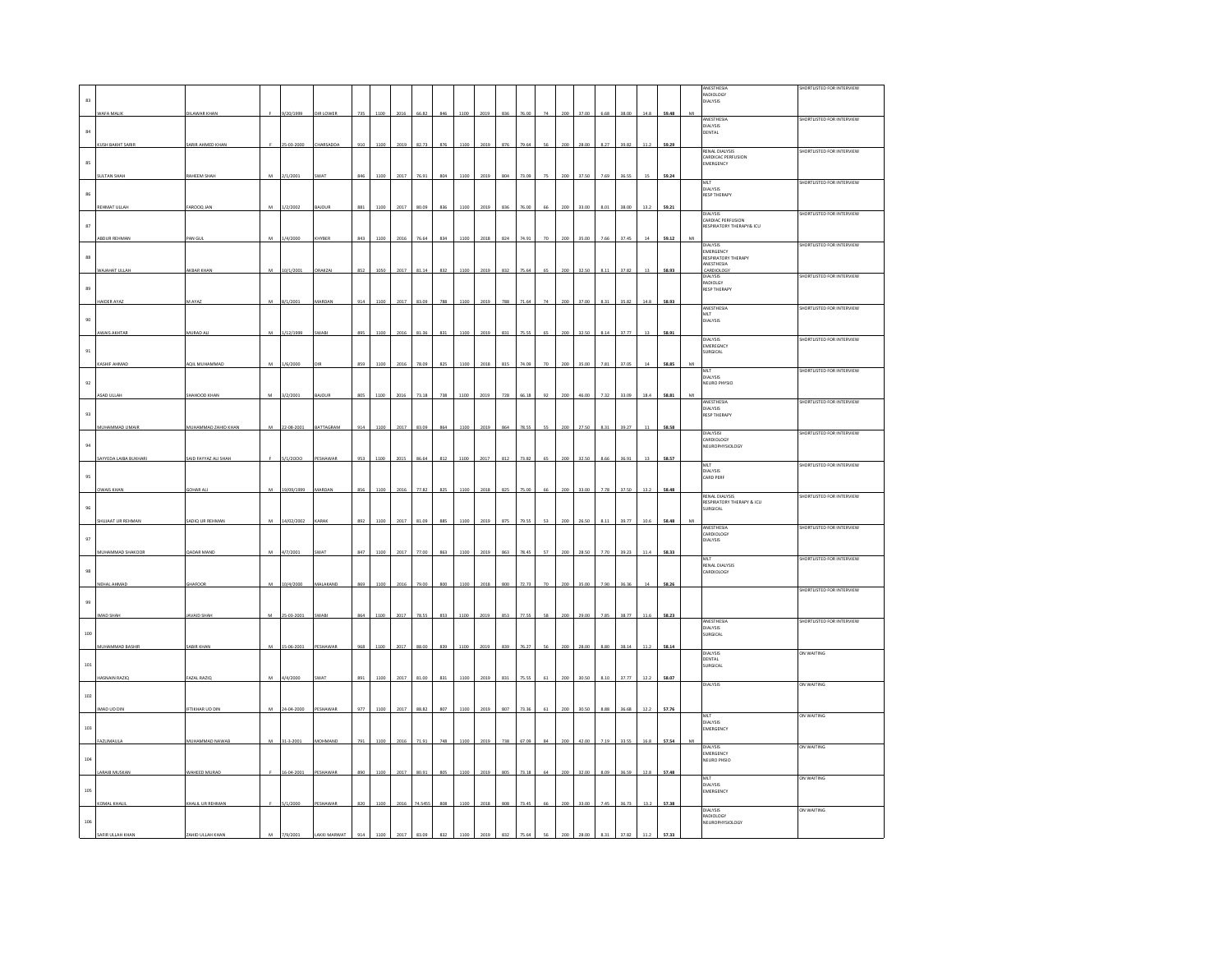|                  |                         |                        |                |                |              |     |      |      |         |     |      |      |     |       |        |         |       |      |       |          |       |    | ANESTHESIA                                                | SHORTLISTED FOR INTERVIEW |
|------------------|-------------------------|------------------------|----------------|----------------|--------------|-----|------|------|---------|-----|------|------|-----|-------|--------|---------|-------|------|-------|----------|-------|----|-----------------------------------------------------------|---------------------------|
| 83               |                         |                        |                |                |              |     |      |      |         |     |      |      |     |       |        |         |       |      |       |          |       |    | RADIOLOGY<br>DIALYSIS                                     |                           |
|                  | WAFA MALIK              | DILAWAR KHAN           |                | 9/20/1999      | DIR LOWER    | 735 | 1100 | 2016 | 66.82   | 846 | 1100 | 2019 | 836 | 76.00 | $74\,$ | 200     | 37.00 | 6.68 | 38.00 | $14.8\,$ | 59.48 | MI | ANESTHESIA<br>DIALYSIS                                    | SHORTLISTED FOR INTERVIEW |
| $^{\rm 84}$      |                         |                        |                |                |              |     |      |      |         |     |      |      |     |       |        |         |       |      |       |          |       |    | DENTAL                                                    |                           |
|                  | <b>CUSH BAKHT SARIR</b> | SARIR AHMED KHAN       |                | 25-03-200      |              | 910 |      |      |         | 27  |      | 2019 |     |       |        |         |       |      | 39.82 | 112      | 59.29 |    | <b>RENAL DIALYSIS</b>                                     | SHORTLISTED FOR INTERVIEW |
| $85\,$           |                         |                        |                |                |              |     |      |      |         |     |      |      |     |       |        |         |       |      |       |          |       |    | CARDICAC PERFUSION<br>EMERGENCY                           |                           |
|                  | <b>SULTAN SHAH</b>      | RAHEEM SHAH            | M              | 2/1/2001       | WA           |     |      |      |         |     |      | 201  |     |       |        |         |       |      |       |          | 59.2  |    | MIT<br>DIALYSIS                                           | SHORTLISTED FOR INTERVIEW |
| $86\,$           |                         | FAROOQ JAI             | M              |                | BAJOUR       | 881 | 1100 |      |         |     |      | 2019 | 83  | 76.0  |        |         | 33.00 | 8.01 | 38.00 | 13.2     | 59.2  |    | <b>RESP THERAPY</b>                                       |                           |
|                  | REHMAT ULLAH            |                        |                | 1/2/2002       |              |     |      |      |         |     |      |      |     |       |        |         |       |      |       |          |       |    | DIALYSIS<br>CARDIAC PERFUSION<br>RESPIRATORY THERAPY& ICU | SHORTLISTED FOR INTERVIEW |
| $^{\rm 87}$      | ABDUR REHMAN            | PAN GUL                | м              | 1/4/2000       | CHYBER       | 843 | 1100 |      |         |     |      | 2018 | 82  |       |        |         |       |      |       |          | 59.12 |    |                                                           |                           |
| $^{\rm 88}$      |                         |                        |                |                |              |     |      |      |         |     |      |      |     |       |        |         |       |      |       |          |       |    | <b>DIALYSIS</b><br>EMERGENCY<br>RESPIRATORY THERAPY       | SHORTLISTED FOR INTERVIEW |
|                  | VAJAHAT ULLA            | AKBAR KHAI             | M              | 10/1/2001      | <b>RAKZA</b> | 852 | 1050 | 201  |         | 832 | 1100 | 2019 | 832 | 75.64 |        |         | 32.5  |      | 37.82 |          | 58.93 |    | ANESTHESIA<br>CARDIOLOG                                   |                           |
| 89               |                         |                        |                |                |              |     |      |      |         |     |      |      |     |       |        |         |       |      |       |          |       |    | DIALYSIS<br><b>RESP THERAPY</b>                           | SHORTLISTED FOR INTERVIEW |
|                  | <b>NDER AYAZ</b>        | AAYAZ                  |                | 1/2001         | ARDA         | 914 | 100  |      |         |     |      | 2019 | 788 |       |        |         |       |      |       | 14.8     | 58.93 |    | ANESTHESIA                                                | SHORTLISTED FOR INTERVIEW |
| 90               |                         |                        |                |                |              |     |      |      |         |     |      |      |     |       |        |         |       |      |       |          |       |    | MLT<br><b>DIALYSIS</b>                                    |                           |
|                  | <b>AWAIS AKHTAF</b>     | MURAD AL               | M              | 1/12/1999      | WAE          | 895 | 1100 | 2016 | 81.3    | 831 | 1100 | 2019 | 83  | 75.5  |        |         | 32.5  | 8.1  | 37.77 |          | 58.91 |    | DIALYSIS                                                  | SHORTLISTED FOR INTERVIEW |
| $\mathfrak{g}_1$ |                         |                        |                |                |              |     |      |      |         |     |      |      |     |       |        |         |       |      |       |          |       |    | EMEREGNCY<br>URGICAL                                      |                           |
|                  | KASHIF AHMAD            | AQIL MUHAMMAD          | M              | 1/6/2000       |              | 859 | 1100 | 2016 | 78.09   | 825 | 1100 | 2018 | 815 | 74.09 |        |         | 35.00 | 7.81 | 37.05 |          | 58.8  |    | MLT                                                       | SHORTLISTED FOR INTERVIEW |
| $\mathsf{92}$    |                         |                        |                |                |              |     |      |      |         |     |      |      |     |       |        |         |       |      |       |          |       |    | <b>DIALYSIS</b><br>NEURO PHYSIO                           |                           |
|                  | ASAD ULLAH              | SHAHOOD KHAN           | M              | 3/2/2001       | BAJOUR       | 805 | 1100 | 2016 | 73.18   | 738 | 1100 | 2019 | 728 | 66.18 | 92     | 200     | 46.00 | 7.32 | 33.09 | 18.4     | 58.81 |    | ANESTHESIA                                                | SHORTLISTED FOR INTERVIEW |
| $93\,$           |                         |                        |                |                |              |     |      |      |         |     |      |      |     |       |        |         |       |      |       |          |       |    | DIALYSIS<br><b>RESP THERAPY</b>                           |                           |
|                  | MUHAMMAD UMAIR          | MUHAMMAD ZAHID KHAN    | M              | 22-08-2001     | BATTAGRAM    | 914 | 1100 | 2017 | 83.09   | 864 | 1100 | 2019 | 864 | 78.55 | 55     | $200 -$ | 27.50 | 8.31 | 39.27 | 11       | 58.58 |    | DIALYSISI<br>CARDIOLOGY                                   | SHORTLISTED FOR INTERVIEW |
| $\mathsf{94}$    |                         |                        |                |                |              |     |      |      |         |     |      |      |     |       |        |         |       |      |       |          |       |    | NEUROPHYSIOLOGY                                           |                           |
|                  | SAYYEDA LAIBA BUKHAR    | SAID FAYYAZ ALI SHA    |                | /1/2000        |              |     |      |      |         |     |      | 2017 |     |       |        |         |       |      |       |          | 58.57 |    | MLT<br>DIALYSIS                                           | SHORTLISTED FOR INTERVIEW |
| 95               | <b>OWAIS KHAN</b>       | <b>GOHAR AL</b>        | M              | 19/09/1999     | MARDAN       | 856 | 1100 | 2016 | 77.83   | 825 | 1100 | 2018 | 825 | 75.00 | 66     |         | 33.00 | 7.78 | 37.50 | 13.2     | 58.4  |    | CARD PERF                                                 |                           |
| 96               |                         |                        |                |                |              |     |      |      |         |     |      |      |     |       |        |         |       |      |       |          |       |    | RENAL DIALYSIS<br>RESPIRATORY THERAPY & ICU<br>SURGICAL   | SHORTLISTED FOR INTERVIEW |
|                  | <b>HUJAAT UR REHMAN</b> | SADIQ UR REHMAN        |                | 4/02/2002      | ARA          |     |      |      |         |     |      | 2019 |     |       |        |         |       |      |       |          | 58.4  |    |                                                           |                           |
| 97               |                         |                        |                |                |              |     |      |      |         |     |      |      |     |       |        |         |       |      |       |          |       |    | ANESTHESIA<br>CARDIOLOGY<br>DIALYSIS                      | SHORTLISTED FOR INTERVIEW |
|                  | MUHAMMAD SHAKOOR        | <b>QADAR MAND</b>      | M              | 4/7/2001       | SWAT         | 847 | 1100 | 2017 | 77.00   | 863 | 1100 | 2019 | 863 | 78.4  |        |         |       |      | 39.23 | 11.4     | 58.33 |    | MIT                                                       | SHORTLISTED FOR INTERVIEW |
| $^{98}\,$        |                         |                        |                |                |              |     |      |      |         |     |      |      |     |       |        |         |       |      |       |          |       |    | <b>RENAL DIALYSIS</b><br>CARDIOLOGY                       |                           |
|                  | <b>NEHAL AHMAD</b>      | <b>GHAFOOF</b>         | M              | 10/4/2000      | MALAKAND     | 869 |      |      |         |     |      | 2018 |     |       |        |         |       |      |       |          | 58.2  |    |                                                           | SHORTLISTED FOR INTERVIEW |
| $99$             |                         |                        |                |                |              |     |      |      |         |     |      |      |     |       |        |         |       |      |       |          |       |    |                                                           |                           |
|                  | <b>MAD SHAH</b>         | <b>AVAID SHA</b>       |                | $5 - 03 - 200$ | WAE          |     |      |      |         |     |      | 2019 | 85  |       |        |         |       |      |       |          | 58.2  |    | ANESTHESIA                                                | SHORTLISTED FOR INTERVIEW |
| 100              |                         |                        |                |                |              |     |      |      |         |     |      |      |     |       |        |         |       |      |       |          |       |    | DIALYSIS<br>SURGICAL                                      |                           |
|                  | MUHAMMAD BASHIR         | SABIR KHAN             | M              | 15-06-2001     | PESHAWAR     | 968 | 1100 |      | 88.0    | 839 |      | 2019 | 839 |       |        |         | 28.00 | 8.81 | 38.14 |          | 58.1  |    | DIALYSIS<br>DENTAL                                        | ON WAITING                |
| $101$            |                         |                        |                |                |              |     |      |      |         |     |      |      |     |       |        |         |       |      |       |          |       |    | <b>JRGICAL</b>                                            |                           |
|                  | <b>HASNAIN RAZIO</b>    | FAZAL RAZIO            | M              | 4/4/2000       | WA1          | 891 | 1100 | 2017 | 81.00   | 831 | 1100 | 2019 | 83  | 75.5  |        |         | 30.50 | 8.10 | 37.77 | 12.2     | 58.07 |    | <b>DIALYSIS</b>                                           | ON WAITING                |
| 102              | IMAD UD DIN             | <b>IFTIKHAR UD DIN</b> |                | 24-04-2000     | PESHAWAR     | 977 | 1100 | 2017 | 88.82   | 807 | 1100 | 2019 | 807 |       |        |         |       | 8.88 | 36.68 | 12.2     | 57.76 |    |                                                           |                           |
|                  |                         |                        | M              |                |              |     |      |      |         |     |      |      |     | 73.36 |        |         | 30.50 |      |       |          |       |    | MLT<br>DIALYSIS                                           | ON WAITING                |
| $103\,$          | AZLIMAUL                | MUHAMMAD NAWAS         | $\overline{M}$ | 31-3-2001      |              |     |      |      |         |     |      | 201  |     |       |        |         |       |      |       |          | 57.5  |    | EMERGENCY                                                 |                           |
| 104              |                         |                        |                |                |              |     |      |      |         |     |      |      |     |       |        |         |       |      |       |          |       |    | <b>DIALYSIS</b><br>EMERGENCY                              | ON WAITING                |
|                  | <b>LARAIB MUSKAN</b>    | WAHEED MURAD           |                | 16-04-2001     | PESHAWAF     | 890 | 1100 | 2017 | 80.9    | 803 | 1100 | 2019 | 80  | 73.1  |        |         | 32.00 | 8.09 | 36.59 | 12.8     | 57.48 |    | NEURO PHSIO                                               |                           |
| 105              |                         |                        |                |                |              |     |      |      |         |     |      |      |     |       |        |         |       |      |       |          |       |    | MLT<br><b>DIALYSIS</b><br>EMERGENCY                       | ON WAITING                |
|                  | KOMAL KHALIL            | KHALIL UR REHMAN       |                | 5/1/2000       | PESHAWAR     | 820 | 1100 |      | 74,5455 | 808 | 1100 | 2018 | 808 | 73.45 |        |         | 33.00 | 7.45 | 36.73 | 13.2     | 57.38 |    |                                                           |                           |
| 106              |                         |                        |                |                |              |     |      |      |         |     |      |      |     |       |        |         |       |      |       |          |       |    | DIALYSIS<br>RADIOLOGY<br>NEUROPHYSIOLOGY                  | ON WAITING                |
|                  | AFIR ULLAH KH           |                        |                |                |              |     |      |      |         |     |      |      |     |       |        |         |       |      |       |          |       |    |                                                           |                           |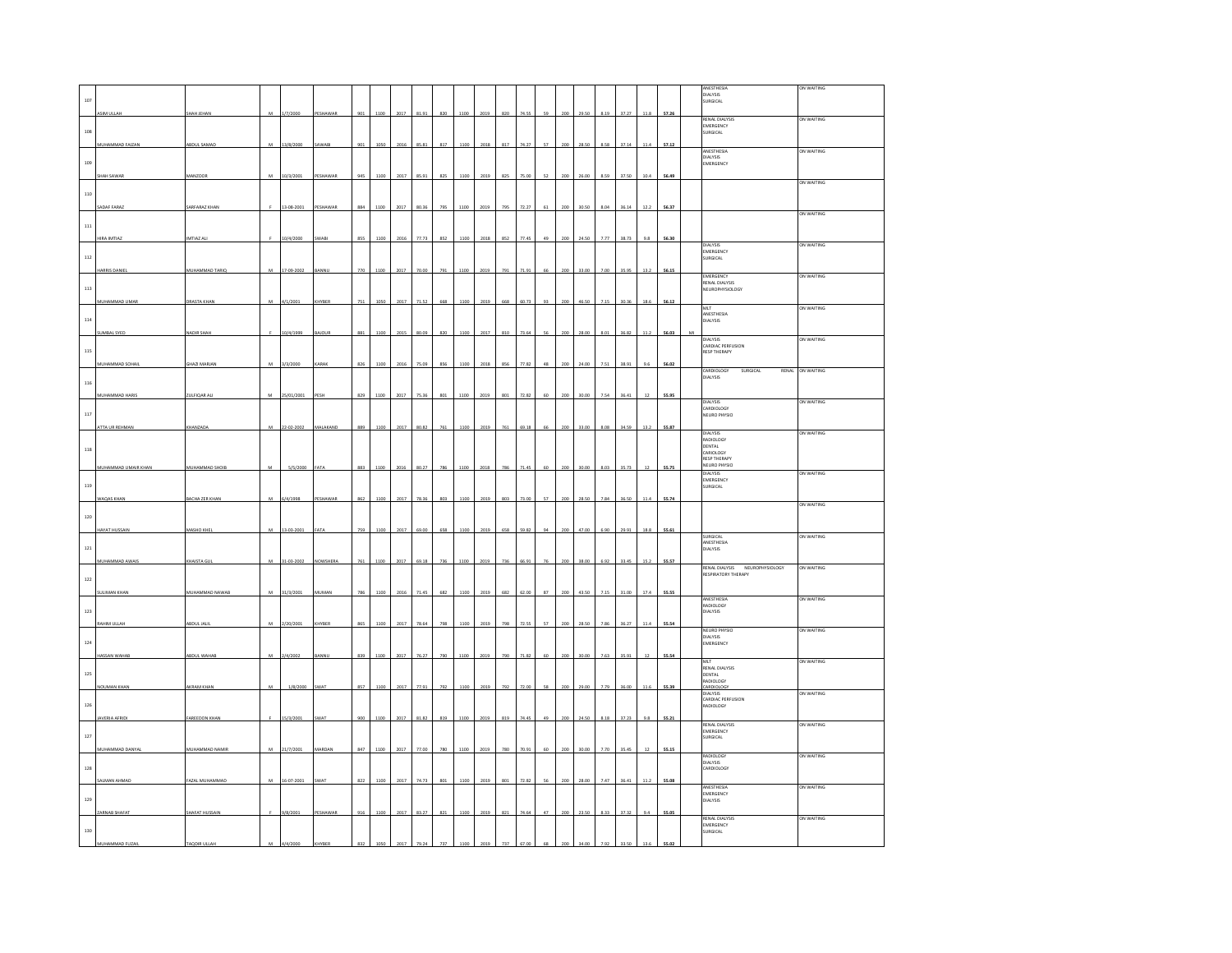|              |                      |                      |           |            |                 |     |      |      |       |             |      |      |     |       |    |     |       |      |       |          |       | ANESTHESIA<br><b>DIALYSIS</b><br>DIALYSIS<br>SURGICAL | ON WAITING |
|--------------|----------------------|----------------------|-----------|------------|-----------------|-----|------|------|-------|-------------|------|------|-----|-------|----|-----|-------|------|-------|----------|-------|-------------------------------------------------------|------------|
| 107          | ASIM ULLAH           | SHAH JEHAN           | м         | 1/7/2000   | PESHAWAR        | 901 | 1100 | 2017 | 81.91 | 820         | 1100 | 2019 | 820 | 74.55 | 59 | 200 | 29.50 | 8.19 | 37.27 | $11.8\,$ | 57.26 |                                                       |            |
|              |                      |                      |           |            |                 |     |      |      |       |             |      |      |     |       |    |     |       |      |       |          |       | <b>RENAL DIALYSIS</b><br>EMERGENCY                    | ON WAITING |
| $108\,$      |                      |                      |           |            |                 |     |      |      |       |             |      |      |     |       |    |     |       |      | 37.14 |          |       | SURGICAL                                              |            |
|              | MUHAMMAD FAIZAN      | ABDUL SAMA           | M         | 13/8/2000  | AWAB            | 901 | 1050 | 2016 | 85.81 | 817         | 1100 | 2018 | 817 | 74.27 | 57 | 200 | 28.50 | 8.58 |       | 11.4     | 57.12 | ANESTHESIA<br><b>DIALYSIS</b>                         | ON WAITING |
| 109          |                      |                      |           |            |                 |     |      |      |       |             |      |      |     |       |    |     |       |      |       |          |       | <b>EMERGENCY</b>                                      |            |
|              | SHAH SAWAR           | MANZOOF              | ${\bf M}$ | 10/3/2001  | PESHAWAR        | 945 | 1100 | 2017 | 85.91 | 825         | 1100 | 2019 | 825 | 75.00 | 52 | 200 | 26.00 | 8.59 | 37.50 | 10.4     | 56.49 |                                                       | ON WAITING |
| $_{\rm 110}$ |                      |                      |           |            |                 |     |      |      |       |             |      |      |     |       |    |     |       |      |       |          |       |                                                       |            |
|              | ADAF FARA            | SARFARAZ KHAI        |           | 13-08-2001 | PESHAWAI        | 884 | 1100 | 2017 | 80.36 | 79          | 1100 | 201  |     |       | 61 |     | 30.5  | 8.04 | 36.14 |          | 56.3  |                                                       | ON WAITING |
| $111\,$      |                      |                      |           |            |                 |     |      |      |       |             |      |      |     |       |    |     |       |      |       |          |       |                                                       |            |
|              | <b>HIRA IMTIA2</b>   | IMTIAZ AL            |           | 10/4/2000  | SWAE            | 855 | 110  | 2016 | 77.73 | 852         | 1100 | 2018 | 852 | 77.4  | 49 |     | 245   | 7.77 | 38.73 | 9.8      | 56.30 | <b>DIAIVSIS</b><br>MERGENCY                           | ON WAITING |
| $112\,$      |                      |                      |           |            |                 |     |      |      |       |             |      |      |     |       |    |     |       |      |       |          |       | URGICAL                                               |            |
|              | HARRIS DANIE         | MUHAMMAD TARIQ       | M         | 17-09-2002 | BANNU           | 770 | 1100 | 2017 | 70.00 | 791         | 1100 | 2019 | 791 | 71.9  | 66 |     | 33.00 | 7.00 | 35.95 | 13.2     | 56.1  | EMERGENCY<br>RENAL DIALYSIS                           | ON WAITING |
| $113\,$      |                      |                      |           |            |                 |     |      |      |       |             |      |      |     |       |    |     |       |      |       |          |       | <b>NEUROPHYSIOLOGY</b>                                |            |
|              | MUHAMMAD UMAR        | DRASTA KHAN          | м         | 4/1/2001   | HYBER           | 751 | 1050 | 2017 | 71.52 | <b>FASS</b> | 1100 | 2019 |     |       | 93 |     |       |      | 30.36 | 18.6     | 56.12 | MLT                                                   | ON WAITING |
| $^{\rm 114}$ |                      |                      |           |            |                 |     |      |      |       |             |      |      |     |       |    |     |       |      |       |          |       | ANESTHESIA<br>DIALYSIS                                |            |
|              | <b>SUMBAL SYED</b>   | NADIR SHAH           |           | 10/4/1999  | BAJOUR          | 881 | 1100 | 2015 | 80.09 | 820         | 1100 | 2017 |     | 73.6  | 56 | 200 | 28.00 | 8.01 | 36.82 | 11.2     | 56.03 | DIALYSIS                                              | ON WAITING |
| 115          |                      |                      |           |            |                 |     |      |      |       |             |      |      |     |       |    |     |       |      |       |          |       | CARDIAC PERFUSION<br><b>RESP THERAPY</b>              |            |
|              | MUHAMMAD SOHAI       | GHAZI MARJAN         | M         | 3/3/2000   | CARAK           | 826 | 1100 | 2016 | 75.09 | 856         | 1100 | 2018 | 856 | 77.87 | 48 | zn  | 24.00 | 7.51 | 38.91 | 9.6      | 56.02 | CARDIOLOGY<br>DIALYSIS<br>SURGICAL<br>RENAL           | ON WAITING |
| $_{\rm 116}$ |                      |                      |           |            |                 |     |      |      |       |             |      |      |     |       |    |     |       |      |       |          |       |                                                       |            |
|              | MUHAMMAD HARIS       | ZULFIQAR ALI         | M         | 25/01/2001 | PESH            | 829 | 1100 | 2017 | 75.36 | $801\,$     | 1100 | 2019 | 801 | 72.82 | 60 | 200 | 30.00 | 7.54 | 36.41 | 12       | 55.95 | DIALYSIS                                              | ON WAITING |
| $_{\rm 117}$ |                      |                      |           |            |                 |     |      |      |       |             |      |      |     |       |    |     |       |      |       |          |       | CARDIOLOGY<br>NEURO PHYSIO                            |            |
|              | <b>TTA UR REHMAN</b> | CHANZAD              |           | $02 - 200$ | <b>HAKANI</b>   |     |      |      |       |             | 110  |      |     |       | 66 |     |       |      | 34.59 |          | 55.87 | DIALYSIS                                              | ON WAITING |
| $^{\rm 118}$ |                      |                      |           |            |                 |     |      |      |       |             |      |      |     |       |    |     |       |      |       |          |       | RADIOLOGY<br>DENTAL                                   |            |
|              | MUHAMMAD UMAIR KHAN  | MUHAMMAD SHOIE       |           | 5/5/2000   | FATA            | 883 | 1100 |      | 80.27 |             | 1100 |      |     |       | 60 |     | 30.00 | 8.02 | 35.73 |          | 55.75 | CARIOLOGY<br><b>RESP THERAPY</b><br>NEURO PHYSIO      |            |
|              |                      |                      |           |            |                 |     |      |      |       |             |      |      |     |       |    |     |       |      |       |          |       | DIALYSIS<br><b>EMERGENCY</b>                          | ON WAITING |
| 119          |                      |                      |           |            |                 |     |      |      |       |             |      |      |     |       |    |     |       |      | 36.50 |          |       | SURGICAL                                              |            |
|              |                      |                      |           |            |                 |     |      |      |       |             |      |      |     |       |    |     |       |      |       |          |       |                                                       |            |
|              | VAQAS KHAM           | BACHA ZER KHA        | м         | 6/4/1998   |                 |     |      |      |       |             | 110  | 201  |     |       | 57 |     |       |      |       |          | 55.74 |                                                       | ON WAITING |
| 120          |                      |                      |           |            |                 |     |      |      |       |             |      |      |     |       |    |     |       |      |       |          |       |                                                       |            |
|              | <b>HAYAT HUSSAIN</b> | MASHO KHE            | M         | 13-03-2001 | ATA             | 759 | 1100 | 2017 | 69.00 | 658         | 1100 | 2019 | 658 | 59.8  | 94 | 200 | 47.00 | 6.90 | 29.91 | 18.8     | 55.61 | SURGICAL                                              | ON WAITING |
| $121\,$      |                      |                      |           |            |                 |     |      |      |       |             |      |      |     |       |    |     |       |      |       |          |       | ANESTHESIA<br>DIALYSIS                                |            |
|              | MUHAMMAD AWAIS       | KHAISTA GUI          | M         | 31-03-2002 | <b>VOWSHERA</b> | 761 | 1100 | 2017 | 69.18 | 736         | 1100 | 2019 | 736 | 66.93 | 76 | 201 | 38.00 | 6.92 | 33.45 | 15.2     | 55.57 | RENAL DIALYSIS NEUROPHYSIOLOGY                        | ON WAITING |
| $122\,$      |                      |                      |           |            |                 |     |      |      |       |             |      |      |     |       |    |     |       |      |       |          |       | <b>RESPIRATORY THERAPY</b>                            |            |
|              | <b>ULIMAN KHAN</b>   | MUHAMMAD NAWAB       | м         | 31/3/2001  | <b>NUMAN</b>    |     |      |      |       |             | 110  |      |     |       | 87 |     |       |      | 31.00 | 17.4     | 55.55 | ANESTHESIA                                            | ON WAITING |
| $123\,$      |                      |                      |           |            |                 |     |      |      |       |             |      |      |     |       |    |     |       |      |       |          |       | RADIOLOGY<br>DIALYSIS                                 |            |
|              | RAHIM ULLAH          | ABDUL JALI           | M         | 2/20/2001  | KHYBER          | 865 | 1100 | 2017 | 78.64 | 798         | 1100 | 2019 | 798 | 72.5  | 57 | 200 | 28.50 | 7.86 | 36.27 | 11.4     | 55.54 | NEURO PHYSIO                                          | ON WAITING |
| $124\,$      |                      |                      |           |            |                 |     |      |      |       |             |      |      |     |       |    |     |       |      |       |          |       | DIALYSIS<br>EMERGENCY                                 |            |
|              | <b>JASSAN WAHAI</b>  | ABDUL WAHA           | M         | 2/4/2002   | <b>MNI</b>      | 839 | 1100 | 2017 | 76.27 | 790         | 1100 | 2019 | 790 | 71.82 | 60 | 200 | 30.00 | 7.63 | 35.91 | 12       | 55.54 | MIT                                                   | ON WAITING |
| 125          |                      |                      |           |            |                 |     |      |      |       |             |      |      |     |       |    |     |       |      |       |          |       | <b>RENAL DIALYSIS</b><br>DENTAL<br>RADIOLOGY          |            |
|              | NOUMAN KHAN          | AKRAM KHAN           | M         | 1/8/2000   | SWAT            | 857 | 1100 | 2017 | 77.91 | 792         | 1100 | 2019 | 792 | 72.00 | 58 | 200 | 29.00 | 7.79 | 36.00 | 11.6     | 55.39 | CARDIOLOGY<br>DIALYSIS                                | ON WAITING |
| $126\,$      |                      |                      |           |            |                 |     |      |      |       |             |      |      |     |       |    |     |       |      |       |          |       | CARDIAC PERFUSION<br>RADIOLOGY                        |            |
|              | AVERIA AFRIDI        | <b>FAREEDON KHAN</b> |           | 15/3/2001  | WA1             | 900 | 1100 | 2017 | 81.82 | 819         | 1100 | 2019 | 819 | 74.45 | 49 | 200 | 24.50 | 8.18 | 37.23 | 9.8      | 55.21 | <b>RENAL DIALYSIS</b>                                 | ON WAITING |
| $127\,$      |                      |                      |           |            |                 |     |      |      |       |             |      |      |     |       |    |     |       |      |       |          |       | EMERGENCY<br>SURGICAL                                 |            |
|              | MUHAMMAD DANYAL      | MUHAMMAD NAMI        | M         | 21/7/2001  | MARDAN          | 847 | 1100 | 2017 | 77.00 |             | 110  |      |     |       |    |     |       |      | 35.4  |          | 55.1  | RADIOLOGY                                             | ON WAITING |
| 128          |                      |                      |           |            |                 |     |      |      |       |             |      |      |     |       |    |     |       |      |       |          |       | DIALYSIS<br>CARDIOLOGY                                |            |
|              | SALMAN AHMAD         | FAZAL MUHAMMAD       | M         | 16-07-2001 | SWAT            | 822 | 1100 | 2017 | 74.73 | 801         | 1100 | 2019 | 801 | 72.8  | 56 |     | 28.00 | 7.47 | 36.41 | 11       | 55.0  | ANESTHESIA                                            | ON WAITING |
| $129\,$      |                      |                      |           |            |                 |     |      |      |       |             |      |      |     |       |    |     |       |      |       |          |       | <b>EMERGENCY</b><br>DIALYSIS                          |            |
|              | ZARNAB SHAFAT        | SHAFAT HUSSAIN       |           | 9/8/2001   | PESHAWAR        | 916 | 1100 | 2017 | 83.27 | 821         | 1100 | 2019 | 821 | 74.64 | 47 | 200 | 23.50 | 8.33 | 37.32 | 9.4      | 55.05 |                                                       |            |
| 130          |                      |                      |           |            |                 |     |      |      |       |             |      |      |     |       |    |     |       |      |       |          |       | RENAL DIALYSIS<br>EMERGENCY<br>SURGICAL               | ON WAITING |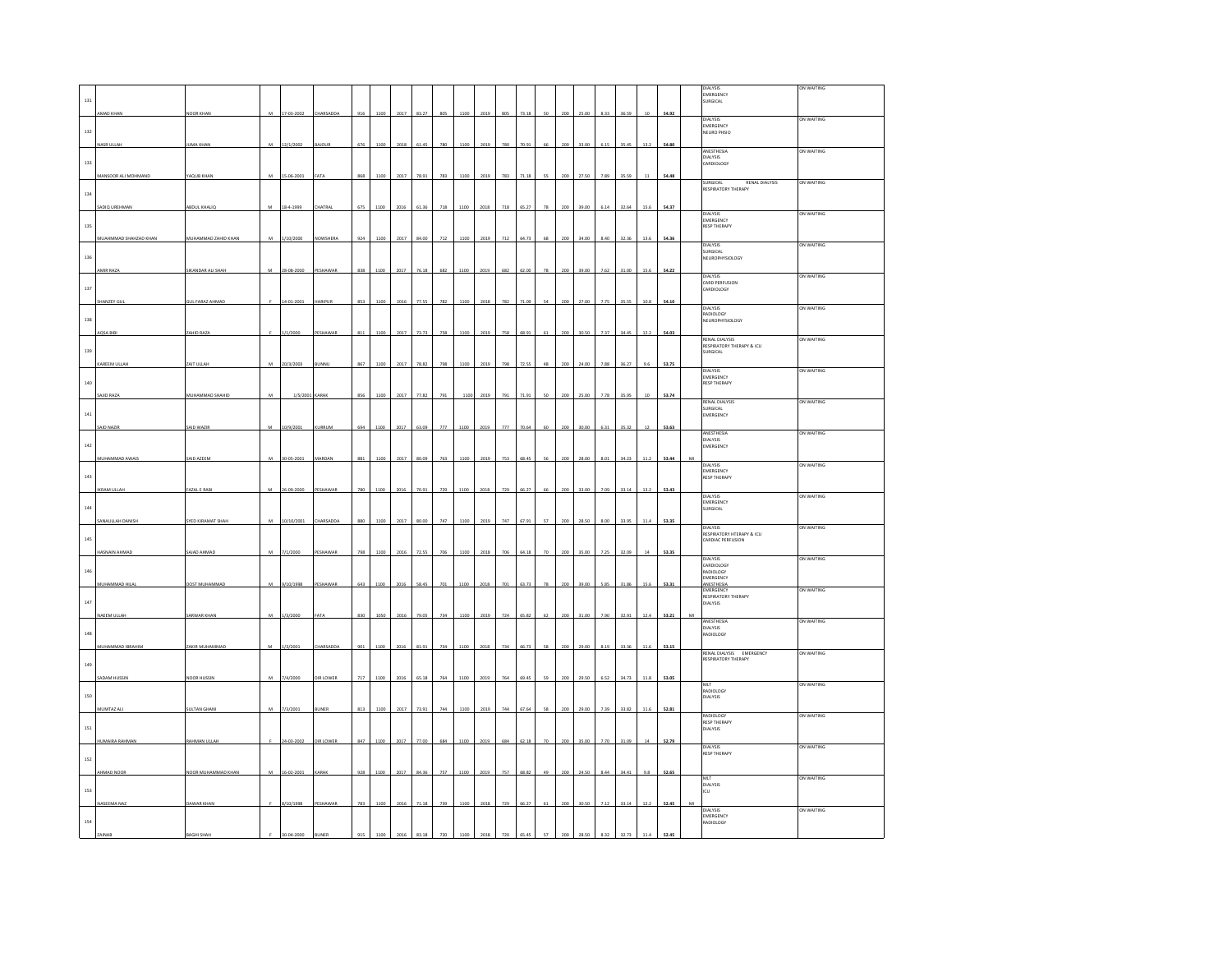|              |                       |                        |   |                |                  |     |      |      |       |     |      |      |     |       |    |     |       |      |       |        |       | <b>DIALYSIS</b>                                         | ON WAITING |
|--------------|-----------------------|------------------------|---|----------------|------------------|-----|------|------|-------|-----|------|------|-----|-------|----|-----|-------|------|-------|--------|-------|---------------------------------------------------------|------------|
| 131          |                       |                        |   |                |                  |     |      |      |       |     |      |      |     |       |    |     |       |      |       |        |       | EMERGENCY<br>SURGICAL                                   |            |
|              | AMAD KHAN             | NOOR KHAN              | M | 17-03-2002     | <b>CHARSADDA</b> | 916 | 1100 | 2017 | 83.27 | 805 | 1100 | 2019 | 805 | 73.18 | 50 | 200 | 25.00 | 8.33 | 36.59 | $10\,$ | 54.92 |                                                         | ON WAITING |
| $132\,$      |                       |                        |   |                |                  |     |      |      |       |     |      |      |     |       |    |     |       |      |       |        |       | DIALYSIS<br>EMERGENCY<br>NEURO PHSIO                    |            |
|              | <b>JASR LILLAR</b>    | UMA KHA                | M | 12/1/2002      |                  | 676 |      |      |       |     | 1100 | 201  |     | 70 q  |    |     |       |      |       |        | 54.80 |                                                         |            |
|              |                       |                        |   |                |                  |     |      |      |       |     |      |      |     |       |    |     |       |      |       |        |       | ANESTHESIA<br><b>DIALYSIS</b>                           | ON WAITING |
| 133          |                       |                        |   |                |                  |     |      |      |       |     |      |      |     |       |    |     |       |      |       |        |       | CARDIOLOGY                                              |            |
|              | MANSOOR ALI MOHMAND   | YAQUB KHAN             | M | 15-06-200      |                  |     | 110  | 2017 | 78.91 | 783 | 1100 | 201  | 783 | 1.1   |    |     |       |      |       |        | 54.4  | SURGICAL<br>RENAL DIALYSIS                              | ON WAITING |
| 134          |                       |                        |   |                |                  |     |      |      |       |     |      |      |     |       |    |     |       |      |       |        |       | RESPIRATORY THERAPY                                     |            |
|              | SADIQ UREHMAN         | ABDUL KHALIC           | M | 18-4-1999      | <b>HATRAI</b>    | 675 | 1100 | 2016 | 61.36 | 718 | 1100 | 2018 | 718 | 65.27 | 70 | zor | 39.0  | 6.14 | 32.64 | 15     | 54.37 |                                                         |            |
|              |                       |                        |   |                |                  |     |      |      |       |     |      |      |     |       |    |     |       |      |       |        |       | DIALYSIS<br>EMERGENCY<br>RESP THERAPY                   | ON WAITING |
| 135          |                       |                        |   |                |                  |     |      |      |       |     |      |      |     |       |    |     |       |      |       |        |       |                                                         |            |
|              | MUAHMMAD SHAHZAD KHAN | MUHAMMAD ZAHID KHAN    | M | 1/10/2000      | NOWSHERA         | 924 | 1100 | 2017 | 84.00 | 712 | 1100 | 2019 | 712 | 64.73 |    | 200 | 34.00 | 8.40 | 32.3  | 13.6   | 54.3  | <b>DIALYSIS</b>                                         | ON WAITING |
| 136          |                       |                        |   |                |                  |     |      |      |       |     |      |      |     |       |    |     |       |      |       |        |       | SURGICAL<br>NEUROPHYSIOLOGY                             |            |
|              | MIR RAZA              | SIKANDAR ALI SHAH      | M | 28-08-2000     | <b>ESHAWAR</b>   | 838 | 1100 | 2017 | 76.18 | 682 | 1100 | 2019 | 682 | 62.00 | 78 | 200 | 39.00 | 7.62 | 31.00 | 15.6   | 54.22 |                                                         |            |
| 137          |                       |                        |   |                |                  |     |      |      |       |     |      |      |     |       |    |     |       |      |       |        |       | DIALYSIS<br>CARD PERFUSION<br>CARDIOLOGY                | ON WAITING |
|              |                       | <b>SUL FARAZ AHMAD</b> |   | $-01 - 2001$   | ARIPUR           | 853 | 1100 | 2016 | 77.55 | 782 | 1100 | 2018 | 782 |       |    |     |       |      |       | 10.8   |       |                                                         |            |
|              | HANZEY GU             |                        |   |                |                  |     |      |      |       |     |      |      |     |       |    |     |       |      |       |        | 54.10 | DIALYSIS<br>RADIOLOGY                                   | ON WAITING |
| 138          |                       |                        |   |                |                  |     |      |      |       |     |      |      |     |       |    |     |       |      |       |        |       | NEUROPHYSIOLOGY                                         |            |
|              | AQSA BIBI             | ZAHID RAZA             |   | 1/1/2000       | <b>ESHAWAR</b>   | 811 | 1100 | 2017 | 73.73 | 758 | 1100 | 2019 | 758 | 68.91 | 61 | 200 | 30.50 | 7.37 | 34.45 | 12.2   | 54.03 |                                                         | ON WAITING |
| 139          |                       |                        |   |                |                  |     |      |      |       |     |      |      |     |       |    |     |       |      |       |        |       | RENAL DIALYSIS<br>RESPIRATORY THERAPY & ICU<br>SURGICAL |            |
|              | KAREEM ULLAH          | ZAIT ULLAH             | м | 20/3/2003      | <b>UNNL</b>      | 867 | 1100 | 2017 | 78.82 | 798 | 1100 | 2019 | 798 | 72.55 | 48 | 200 | 24.00 | 7.88 | 36.27 | 9.6    | 53.75 |                                                         |            |
|              |                       |                        |   |                |                  |     |      |      |       |     |      |      |     |       |    |     |       |      |       |        |       | <b>DIALYSIS</b><br>EMERGENCY                            | ON WAITING |
| 140          |                       |                        |   |                |                  |     |      |      |       |     |      |      |     |       |    |     |       |      |       |        |       | <b>RESP THERAPY</b>                                     |            |
|              | SAJID RAZA            | MUHAMMAD SHAHID        | М | 1/5/2001 KARAK |                  | 856 | 1100 | 2017 | 77.82 | 791 | 1100 | 2019 | 791 | 71.91 | 50 | 200 | 25.00 | 7.78 | 35.95 | 10     | 53.74 | <b>RENAL DIALYSIS</b>                                   | ON WAITING |
| $_{\rm 141}$ |                       |                        |   |                |                  |     |      |      |       |     |      |      |     |       |    |     |       |      |       |        |       | SURGICAL<br><b>EMERGENCY</b>                            |            |
|              | SAID NAZIR            | SAID WAZIF             | M | 10/9/2001      | URRUM            | 694 | 1100 | 2017 | 63.09 | 777 | 1100 | 2019 | 777 | 70.64 | 60 | 200 | 30.00 | 6.31 | 35.32 | 12     | 53.63 |                                                         |            |
|              |                       |                        |   |                |                  |     |      |      |       |     |      |      |     |       |    |     |       |      |       |        |       | ANESTHESIA<br><b>DIALYSIS</b>                           | ON WAITING |
| $142\,$      |                       |                        |   |                |                  |     |      |      |       |     |      |      |     |       |    |     |       |      |       |        |       | EMERGENCY                                               |            |
|              | MUHAMMAD AWAIS        | SAID AZEEN             |   | 30-05-200      | <b>AARDA</b>     | 881 | 110  | 2017 | 80.09 | 763 | 1100 | 2019 | 753 | 68.4  |    | 20  |       |      | 34.2  | 11.3   | 53.4  | <b>DIALYSIS</b>                                         | ON WAITING |
| 143          |                       |                        |   |                |                  |     |      |      |       |     |      |      |     |       |    |     |       |      |       |        |       | EMERGENCY<br><b>RESP THERAPY</b>                        |            |
|              | <b>IKRAM ULLAH</b>    | <b>FAZAL E RAE</b>     | M | 26-09-2000     | PESHAWAE         | 780 |      | 2016 | 70.91 | 725 | 1100 | 2018 | 729 | 66 Z  | 66 |     | 33.00 | 7.05 | 33.14 | 13.2   | 53.43 | DIALYSIS                                                | ON WAITING |
| 144          |                       |                        |   |                |                  |     |      |      |       |     |      |      |     |       |    |     |       |      |       |        |       | EMERGENCY<br>SURGICAL                                   |            |
|              | SANAULLAH DANISH      | SYED KIRAMAT SHAH      |   | 10/10/2001     | <b>HARSADDA</b>  | 880 | 110  | 201  | 80.00 | 747 | 1100 | 2019 | 747 | 67.9  |    |     |       |      |       |        | 53.35 |                                                         |            |
|              |                       |                        |   |                |                  |     |      |      |       |     |      |      |     |       |    |     |       |      |       |        |       | <b>DIALYSIS</b><br>RESPIRATORY HTERAPY & ICU            | ON WAITING |
| 145          |                       |                        |   |                |                  |     |      |      |       |     |      |      |     |       |    |     |       |      |       |        |       | CARDIAC PERFUSION                                       |            |
|              | <b>HASNAIN AHMAD</b>  | SAJAD AHMAD            | м | 7/1/2000       | ESHAWAR          | 798 | 1100 | 2016 | 72.55 | 706 | 1100 | 2018 | 70  | 64.18 |    | 200 |       |      | 32.0  |        | 53.35 | <b>DIALYSIS</b>                                         | ON WAITING |
| 146          |                       |                        |   |                |                  |     |      |      |       |     |      |      |     |       |    |     |       |      |       |        |       | CARDIOLOGY<br>RADIOLOGY                                 |            |
|              | MUHAMMAD HILAI        | DOST MUHAMMAD          | M | 9/10/1998      | PESHAWAR         | 643 | 110  | 2011 | 58.45 | 701 | 1100 | 2018 |     | 63.7  |    |     | 39.0  |      | 31.8  | 15.6   | 53.33 | EMERGENCY<br>ANESTHESIA<br>EMERGENCY                    |            |
|              |                       |                        |   |                |                  |     |      |      |       |     |      |      |     |       |    |     |       |      |       |        |       | RESPIRATORY THERAPY                                     | ON WAITING |
| $_{\rm 147}$ |                       |                        | M |                |                  | 830 |      |      |       |     |      |      |     |       |    |     |       |      |       |        |       | DIALYSIS                                                |            |
|              | NAEEM ULLAH           | SARWAR KHAN            |   | 1/3/2000       |                  |     | 105  | 201  | 79.05 | 734 | 1100 | 2019 | 72  | 65.8  |    |     | 31.0  |      | 32.9  | 12     | 53.21 | ANESTHESIA<br>DIALYSIS                                  | ON WAITING |
| 148          |                       |                        |   |                |                  |     |      |      |       |     |      |      |     |       |    |     |       |      |       |        |       | <b>RADIOLOGY</b>                                        |            |
|              | MUHAMMAD IBRAHIM      | ZAKIR MUHAMMAD         | M | 1/3/2001       | HARSADDA         | 90' |      |      | 81.91 | 734 | 1100 | 2018 | 734 | 66.7  |    |     |       |      |       | 11     | 53.1  | RENAL DIALYSIS EMERGENCY                                | ON WAITING |
| 149          |                       |                        |   |                |                  |     |      |      |       |     |      |      |     |       |    |     |       |      |       |        |       | <b>RESPIRATORY THERAPY</b>                              |            |
|              | SADAM HUSSIN          | NOOR HUSSIN            | M | 7/4/2000       | <b>JIR LOWER</b> | 717 | 1100 | 2016 | 65.18 | 764 | 1100 | 2019 | 764 | 69.45 | 59 | 200 | 29.50 | 6.52 | 34.73 | 11.8   | 53.05 |                                                         |            |
|              |                       |                        |   |                |                  |     |      |      |       |     |      |      |     |       |    |     |       |      |       |        |       | MLT<br>RADIOLOGY                                        | ON WAITING |
| 150          |                       |                        |   |                |                  |     |      |      |       |     |      |      |     |       |    |     |       |      |       |        |       | <b>DIALYSIS</b>                                         |            |
|              | MUMTAZ ALI            | <b>SULTAN GHANI</b>    | M | 7/3/2001       | <b>UNER</b>      | 813 | 1100 | 2017 | 73.91 | 744 | 1100 | 2019 | 744 | 67.64 | 58 | 200 | 29.00 | 7.39 | 33.82 | 11.6   | 52.81 | RADIOLOGY<br>RESP THERAPY                               | ON WAITING |
| 151          |                       |                        |   |                |                  |     |      |      |       |     |      |      |     |       |    |     |       |      |       |        |       | DIALYSIS                                                |            |
|              | HUMAIRA RAHMAM        | RAHMAN ULLAH           |   | 1.02.200       | <b>JIR LOWEI</b> | 847 |      |      |       | cos | 1100 |      |     |       |    |     |       |      |       |        | 52.7  |                                                         |            |
| 152          |                       |                        |   |                |                  |     |      |      |       |     |      |      |     |       |    |     |       |      |       |        |       | <b>DIALYSIS</b><br><b>RESP THERAPY</b>                  | ON WAITING |
|              |                       | NOOR MUHAMMAD KHAN     |   | 16-02-2001     |                  |     |      |      |       |     |      |      |     |       |    |     |       |      |       |        | 52.65 |                                                         |            |
|              | AHMAD NOOF            |                        | M |                | CARAB            | 928 | 1100 | 2017 | 84.36 | 757 | 1100 | 2019 | 757 | 68.82 | 49 | 200 | 24.5  |      | 34.4  | 9.8    |       | MLT<br>DIALYSIS                                         | ON WAITING |
| 153          |                       |                        |   |                |                  |     |      |      |       |     |      |      |     |       |    |     |       |      |       |        |       | ICU                                                     |            |
|              | NASEEMA NAZ           | <b>DAWAR KHAN</b>      |   | 8/10/1998      | PESHAWAR         | 783 | 1100 | 2016 | 71.18 | 739 | 1100 | 2018 | 729 | 66.27 | 61 | 200 | 30.50 | 712  | 33.14 | 12.2   | 52.45 | DIALYSIS                                                | ON WAITING |
| $154\,$      |                       |                        |   |                |                  |     |      |      |       |     |      |      |     |       |    |     |       |      |       |        |       | EMERGENCY<br>RADIOLOGY                                  |            |
|              |                       |                        |   |                |                  |     |      |      |       |     |      |      |     |       |    |     |       |      |       |        |       |                                                         |            |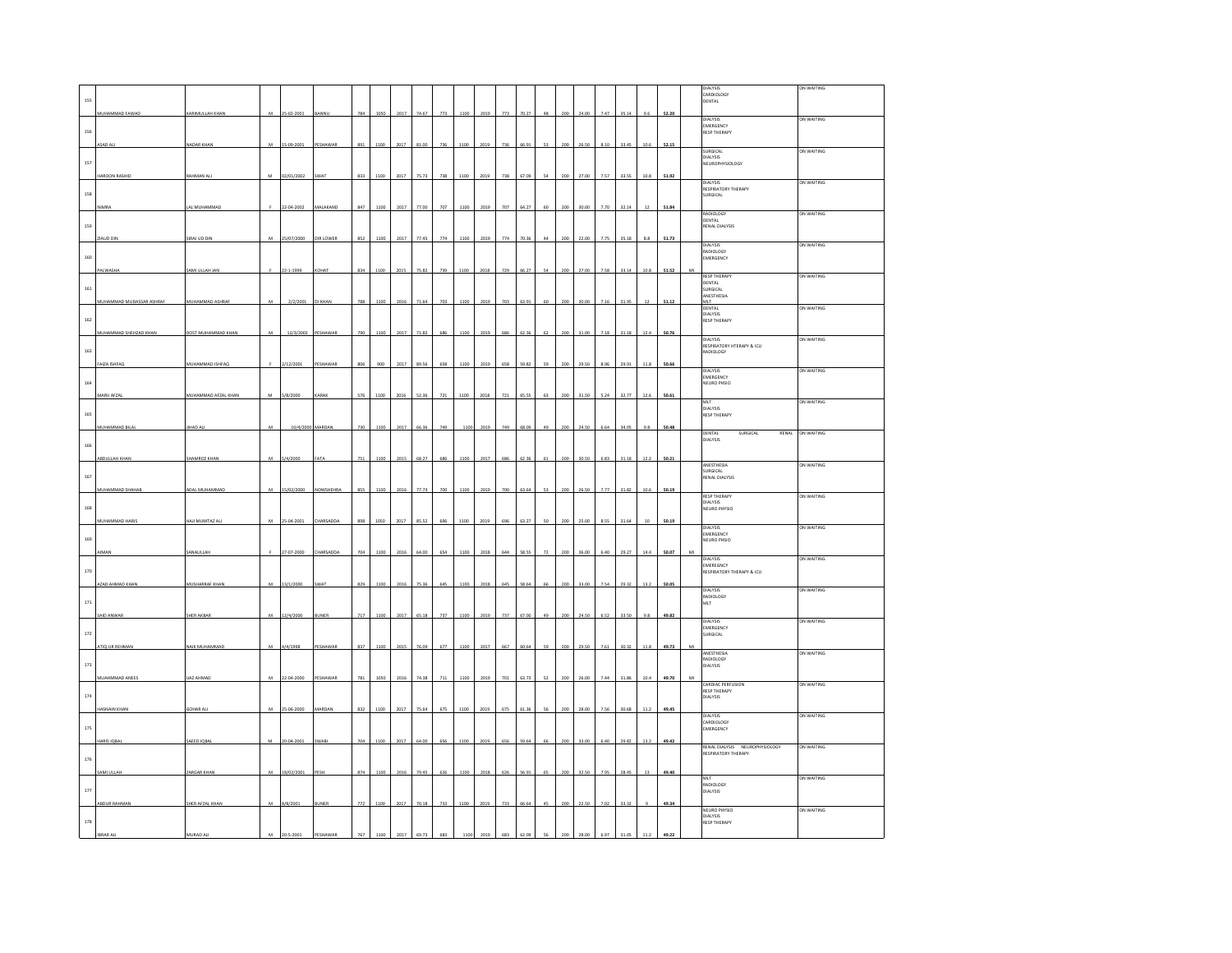|              |                          |                     |                |                  |                  |     |      |      |            |                 |      |                 |     |       |    |     |       |      |              |      |       |   | DIALYSIS                                              | ON WAITING |
|--------------|--------------------------|---------------------|----------------|------------------|------------------|-----|------|------|------------|-----------------|------|-----------------|-----|-------|----|-----|-------|------|--------------|------|-------|---|-------------------------------------------------------|------------|
| 155          |                          |                     |                |                  |                  |     |      |      |            |                 |      |                 |     |       |    |     |       |      |              |      |       |   | CARDIOLOGY<br>DENTAL                                  |            |
|              | MUHAMMAD FAWAD           | KARIMULLAH KHAN     | M              | 25-02-2001       | BANNU            | 784 | 1050 |      | 2017 74.67 | 773             | 1100 | 2019            | 773 | 70.27 | 48 | 200 | 24.00 | 7.47 | 35.14        | 9.6  | 52.20 |   |                                                       |            |
|              |                          |                     |                |                  |                  |     |      |      |            |                 |      |                 |     |       |    |     |       |      |              |      |       |   | DIALYSIS<br>EMERGENCY                                 | ON WAITING |
| 156          |                          |                     |                |                  |                  |     |      |      |            |                 |      |                 |     |       |    |     |       |      |              |      |       |   | <b>RESP THERAPY</b>                                   |            |
|              |                          | NADAR KHA           | $\overline{M}$ | 15-09-200        |                  |     |      |      |            |                 |      |                 |     |       |    |     |       |      |              |      | 52.15 |   | SURGICAL                                              | ON WAITING |
|              |                          |                     |                |                  |                  |     |      |      |            |                 |      |                 |     |       |    |     |       |      |              |      |       |   | DIALYSIS                                              |            |
| 157          |                          |                     |                |                  |                  |     |      |      |            |                 |      |                 |     |       |    |     |       |      |              |      |       |   | NEUROPHYSIOLOGY                                       |            |
|              | HAROON RASHID            | RAHMAN AL           | M              | 02/01/2002       | <b>SWAT</b>      | 833 |      | 201  | 75.7       | 73              | 110  | 2019            | 738 |       |    |     | 27.   | 7.57 | 33.55        | 10.8 | 51.92 |   | <b>DIALYSIS</b>                                       | ON WAITING |
| 158          |                          |                     |                |                  |                  |     |      |      |            |                 |      |                 |     |       |    |     |       |      |              |      |       |   | RESPIRATORY THERAPY<br>SURGICAL                       |            |
|              |                          | AL MUHAMMA          |                | 22-04-200        | MALAKAND         | 847 |      | 2017 | 77.0       | $\pi$           | 110  | 20 <sup>2</sup> | 20' |       |    |     |       |      | 32.14        |      | 51.8  |   |                                                       |            |
|              |                          |                     |                |                  |                  |     |      |      |            |                 |      |                 |     |       |    |     |       |      |              |      |       |   | RADIOLOGY                                             | ON WAITING |
| 159          |                          |                     |                |                  |                  |     |      |      |            |                 |      |                 |     |       |    |     |       |      |              |      |       |   | DENTAL<br>RENAL DIALYSIS                              |            |
|              | ZIAUD DIN                | SIRAJ UD DIN        | м              | 25/07/2000       | DIR LOWER        | 852 |      | 2017 |            |                 | 1100 | 2019            | 774 |       |    |     |       |      | 35.18        |      | 51.73 |   |                                                       |            |
|              |                          |                     |                |                  |                  |     |      |      |            |                 |      |                 |     |       |    |     |       |      |              |      |       |   | <b>DIALYSIS</b><br>ADIOLOGY                           | ON WAITING |
| 160          |                          |                     |                |                  |                  |     |      |      |            |                 |      |                 |     |       |    |     |       |      |              |      |       |   | EMERGENCY                                             |            |
|              | PALWASHA                 | SAMI ULLAH JAN      |                | 22-1-1999        | OHAT             | 834 | 1100 | 2015 | 75.82      | 739             | 1100 | 2018            | 729 | 66.2  |    | 200 | 27.00 | 7.58 | 33.14        | 10.8 | 51.52 | M | <b>RESP THERAPY</b>                                   | ON WAITING |
| $161\,$      |                          |                     |                |                  |                  |     |      |      |            |                 |      |                 |     |       |    |     |       |      |              |      |       |   | DENTAL<br>SURGICAL                                    |            |
|              | MUHAMMAD MUDASSAR ASHRAF | MUHAMMAD ASHRAF     | M              |                  | KHAN             | 788 |      |      |            | 703             | 110  |                 |     |       |    |     |       |      | 31.95        |      | 51.12 |   | ANESTHESIA                                            |            |
|              |                          |                     |                | 2/2/2001         |                  |     |      |      |            |                 |      |                 |     |       |    |     |       |      |              |      |       |   | MLT<br>DENTAL                                         | ON WAITING |
| 162          |                          |                     |                |                  |                  |     |      |      |            |                 |      |                 |     |       |    |     |       |      |              |      |       |   | DIALYSIS<br><b>RESP THERAPY</b>                       |            |
|              | MUHAMMAD SHEHZAD KHAN    | DOST MUHAMMAD KHAN  | M              | 12/3/2002        | PESHAWAR         | 790 | 1100 | 2017 | 71.82      | 686             | 1100 | 2019            | 686 | 62.36 | 62 | 200 | 31.00 | 7.18 | 31.18        | 12.4 | 50.76 |   |                                                       |            |
|              |                          |                     |                |                  |                  |     |      |      |            |                 |      |                 |     |       |    |     |       |      |              |      |       |   | DIALYSIS<br>RESPIRATORY HTERAPY & ICU                 | ON WAITING |
| 163          |                          |                     |                |                  |                  |     |      |      |            |                 |      |                 |     |       |    |     |       |      |              |      |       |   | RADIOLOGY                                             |            |
|              | FAIZA ISHFAQ             | MUHAMMAD ISHFAQ     |                | 2/12/2001        | <b>HAWA</b>      |     |      |      |            |                 |      |                 |     |       |    |     |       |      | 29.9         |      | 50.66 |   | DIALYSIS                                              | ON WAITING |
| $164\,$      |                          |                     |                |                  |                  |     |      |      |            |                 |      |                 |     |       |    |     |       |      |              |      |       |   | EMERGENCY<br>NEURO PHSIO                              |            |
|              |                          |                     |                |                  |                  |     |      |      |            |                 |      |                 |     |       |    |     |       |      |              |      |       |   |                                                       |            |
|              | MARU AFZAL               | MUHAMMAD AFZAL KHAN | M              | 5/8/2000         | KARAK            | 576 | 1100 | 2016 | 52.36      | $721\,$         | 1100 | 2018            | 721 | 65.55 | 63 | 200 | 31.50 | 5.24 | 32.77        | 12.6 | 50.61 |   | <b>MLT</b>                                            | ON WAITING |
| 165          |                          |                     |                |                  |                  |     |      |      |            |                 |      |                 |     |       |    |     |       |      |              |      |       |   | DIALYSIS<br><b>RESP THERAPY</b>                       |            |
|              | MUHAMMAD BILAI           | <b>IIHAD ALI</b>    | M              | 10/4/2000 MARDAN |                  | 730 | 1100 | 2017 | 66.36      | 749             | 110  | 2019            | 749 | 68.09 | 49 | 200 | 24.50 | 6.64 | 34.05        | 9.8  | 50.48 |   |                                                       |            |
|              |                          |                     |                |                  |                  |     |      |      |            |                 |      |                 |     |       |    |     |       |      |              |      |       |   | DENTAL<br>SURGICAL<br>RENAL<br><b>DIALYSIS</b>        | ON WAITING |
| 166          |                          |                     |                |                  |                  |     |      |      |            |                 |      |                 |     |       |    |     |       |      |              |      |       |   |                                                       |            |
|              | ABDULLAH KHAN            | <b>SHAMROZ KHA</b>  | M              | 5/4/2000         |                  | 75  |      |      |            |                 |      |                 |     |       |    |     |       |      | 31.11        |      | 50.2  |   | ANESTHESIA                                            | ON WAITING |
|              |                          |                     |                |                  |                  |     |      |      |            |                 |      |                 |     |       |    |     |       |      |              |      |       |   |                                                       |            |
|              |                          |                     |                |                  |                  |     |      |      |            |                 |      |                 |     |       |    |     |       |      |              |      |       |   | SURGICAL                                              |            |
| 167          |                          |                     |                |                  |                  |     |      |      |            |                 |      |                 |     |       |    |     |       |      |              |      |       |   | RENAL DIALYSIS                                        |            |
|              | MUHAMMAD SHAHAB          | ADAL MUHAMMAD       | M              | 15/02/2000       | <b>NOWSHEHRA</b> | 855 | 1100 | 2016 | 77.73      | $\overline{20}$ | 110  | 201             | 700 | 63.6  | 53 |     | 26.50 | 7.77 | 31.82        | 10.6 | 50.19 |   | <b>RESP THERAPY</b>                                   | ON WAITING |
|              |                          |                     |                |                  |                  |     |      |      |            |                 |      |                 |     |       |    |     |       |      |              |      |       |   | <b>DIALYSIS</b>                                       |            |
| 168          |                          |                     |                |                  |                  |     |      |      |            |                 |      |                 |     |       |    |     |       |      |              |      |       |   | NEURO PHYSIO                                          |            |
|              | MUHAMMAD HARIS           | HAJI MUMTAZ AL      |                | 25-04-200        | ARSADD           |     |      |      |            |                 |      |                 |     |       |    |     |       |      | 31.64        |      | 50.19 |   | DIALYSIS                                              | ON WAITING |
| 169          |                          |                     |                |                  |                  |     |      |      |            |                 |      |                 |     |       |    |     |       |      |              |      |       |   | EMERGENCY<br>NEURO PHSIO                              |            |
|              | <b>MAN</b>               | SANAULLAH           |                | 27-07-2000       | HARSADDA         |     |      |      |            |                 | 1100 | 2018            | 644 | 58.5  |    |     |       |      | 29.27        |      | 50.07 |   |                                                       |            |
|              |                          |                     |                |                  |                  |     |      |      |            |                 |      |                 |     |       |    |     |       |      |              |      |       |   | <b>DIALYSIS</b><br>EMEREGNCY                          | ON WAITING |
| 170          |                          |                     |                |                  |                  |     |      |      |            |                 |      |                 |     |       |    |     |       |      |              |      |       |   | RESPIRATORY THERAPY & ICU                             |            |
|              | AZAD AHMAD KHAN          | MUSHARRAF KHAN      | M              | 13/1/2000        |                  |     |      |      |            |                 |      |                 |     |       |    |     |       |      | <b>JQ 22</b> |      | 50.05 |   | DIALYSIS                                              | ON WAITING |
| $_{\rm 171}$ |                          |                     |                |                  |                  |     |      |      |            |                 |      |                 |     |       |    |     |       |      |              |      |       |   | <b>RADIOLOGY</b><br>MLT                               |            |
|              |                          |                     | ${\bf M}$      |                  |                  | 71  |      | 2017 | 65.18      | 737             | 1100 | 201             | 737 |       |    |     |       |      | 33.50        |      | 49.82 |   |                                                       |            |
|              | SAID ANWAR               | SHER AKBAR          |                | 12/4/2000        |                  |     |      |      |            |                 |      |                 |     |       |    |     |       |      |              |      |       |   | <b>DIALYSIS</b>                                       | ON WAITING |
| 172          |                          |                     |                |                  |                  |     |      |      |            |                 |      |                 |     |       |    |     |       |      |              |      |       |   | EMERGENCY<br>SURGICAL                                 |            |
|              | ATIQ UR REHMAN           | NAIK MUHAMMAD       | M              | 4/4/1998         | PESHAWAR         | 837 |      |      |            | 67              |      | 201             | 66  |       |    |     |       | 76   | 30.3         |      | 49.73 |   |                                                       |            |
|              |                          |                     |                |                  |                  |     |      |      |            |                 |      |                 |     |       |    |     |       |      |              |      |       |   | ANESTHESIA<br>RADIOLOGY                               | ON WAITING |
| 173          |                          |                     |                |                  |                  |     |      |      |            |                 |      |                 |     |       |    |     |       |      |              |      |       |   | <b>JIALYSIS</b>                                       |            |
|              | MUAHMMAD ANEES           | <b>JAZ AHMAD</b>    | M              | 22-04-2000       | ESHAWA           | 781 | 1050 | 2016 | 74.38      |                 | 1100 | 2019            |     | 63.7  |    |     |       |      | 31.86        | 10.4 | 49.70 |   | <b>CARDIAC PERFUSION</b>                              | ON WAITING |
| 174          |                          |                     |                |                  |                  |     |      |      |            |                 |      |                 |     |       |    |     |       |      |              |      |       |   | <b>RESP THERAPY</b><br><b>DIALYSIS</b>                |            |
|              | HASNAIN KHAN             | <b>GOHAR AL</b>     | M              | 25-06-2000       | MARDAN           | 832 | 1100 | 2017 | 75.64      | 675             | 1100 | 2019            | 675 | 61.36 |    | 200 | 28.00 | 7.56 | 30.68        | 11.2 | 49.45 |   |                                                       |            |
|              |                          |                     |                |                  |                  |     |      |      |            |                 |      |                 |     |       |    |     |       |      |              |      |       |   |                                                       | ON WAITING |
| $175\,$      |                          |                     |                |                  |                  |     |      |      |            |                 |      |                 |     |       |    |     |       |      |              |      |       |   | DIALYSIS<br>CARDIOLOGY<br>EMERGENCY                   |            |
|              | ARIS IOBA                | SAEED IQBA          |                | 20-04-208        |                  |     |      |      |            |                 |      |                 |     |       |    |     |       |      |              |      | 49.42 |   |                                                       |            |
|              |                          |                     |                |                  |                  |     |      |      |            |                 |      |                 |     |       |    |     |       |      |              |      |       |   | RENAL DIALYSIS NEUROPHYSIOLOGY<br>RESPIRATORY THERAPY | ON WAITING |
| 176          |                          |                     |                |                  |                  |     |      |      |            |                 |      |                 |     |       |    |     |       |      |              |      |       |   |                                                       |            |
|              | SAMI ULLAH               | ZARGAR KHAM         | M              | 18/02/2001       |                  |     |      |      |            |                 | 110  | 20              | 62  |       |    |     |       |      | 28.4         |      | 49.40 |   | MIT                                                   | ON WAITING |
| 177          |                          |                     |                |                  |                  |     |      |      |            |                 |      |                 |     |       |    |     |       |      |              |      |       |   | RADIOLOGY<br>DIALYSIS                                 |            |
|              | ABDUR RAHMAN             | SHER AFZAL KHAN     | M              |                  | <b>BUNER</b>     | 772 | 1100 | 2017 | 70.18      | 733             | 1100 | 2019            | 733 | 66.64 | 45 |     | 22.50 | 7.02 | 33.32        |      | 49.34 |   |                                                       |            |
|              |                          |                     |                | 8/8/2001         |                  |     |      |      |            |                 |      |                 |     |       |    |     |       |      |              |      |       |   | NEURO PHYSIO<br><b>DIALYSIS</b>                       | ON WAITING |
| 178          |                          |                     |                |                  |                  |     |      |      |            |                 |      |                 |     |       |    |     |       |      |              |      |       |   | <b>RESP THERAPY</b>                                   |            |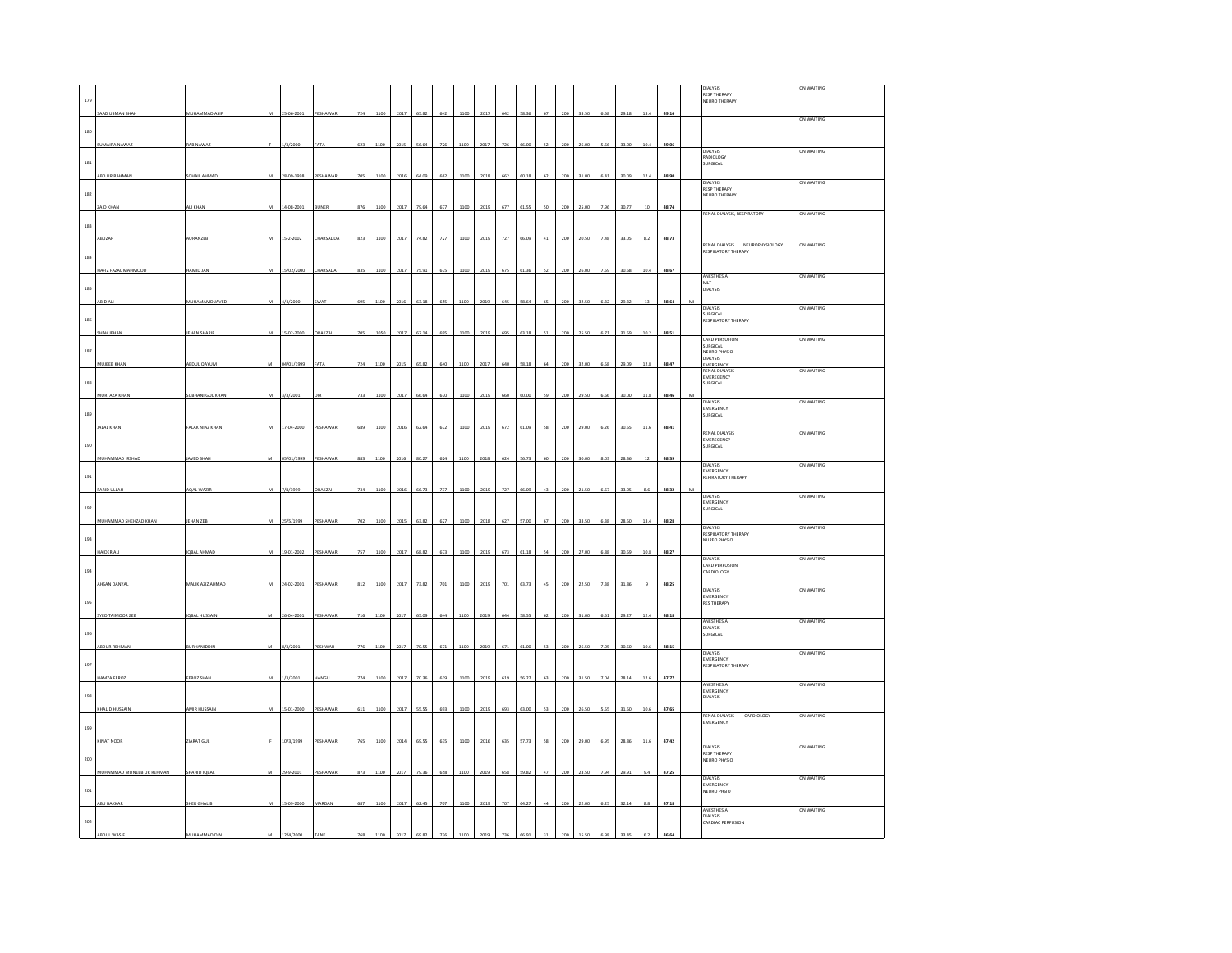|         |                           |                      |   |            |                  |     |      |      |       |                  |      |      |     |       |        |     |       |      |       |      |       | DIALYSIS<br><b>RESP THERAPY</b>                    | ON WAITING |
|---------|---------------------------|----------------------|---|------------|------------------|-----|------|------|-------|------------------|------|------|-----|-------|--------|-----|-------|------|-------|------|-------|----------------------------------------------------|------------|
| 179     |                           |                      |   |            |                  |     |      |      |       |                  |      |      |     |       |        |     |       |      |       |      |       | NEURO THERAPY                                      |            |
|         | SAAD USMAN SHAH           | MUHAMMAD ASIF        | M | 25-06-2001 | PESHAWAR         | 724 | 1100 | 2017 | 65.82 | 642              | 1100 | 2017 | 642 | 58.36 | $67\,$ | 200 | 33.50 | 6.58 | 29.18 | 13.4 | 49.16 |                                                    | ON WAITING |
| $180\,$ |                           |                      |   |            |                  |     |      |      |       |                  |      |      |     |       |        |     |       |      |       |      |       |                                                    |            |
|         | UMAIRA NAWAZ              | RAB NAWA             |   | 1/3/200    |                  | 623 |      |      |       | 724              | 1100 | 201  |     |       |        |     |       |      |       |      | 49.0  | DIALYSIS                                           | ON WAITING |
| $181$   |                           |                      |   |            |                  |     |      |      |       |                  |      |      |     |       |        |     |       |      |       |      |       | RADIOLOGY<br>SURGICAL                              |            |
|         | ABD UR RAHMAN             | SOHAIL AHMAD         | M | 28-09-1998 | <b>ESHAW</b>     |     |      |      |       | 66               | 110  | 201  | 66  | 60.1  |        |     |       |      |       |      | 48.9  | <b>PIALVSIS</b>                                    | ON WAITING |
| 182     |                           |                      |   |            |                  |     |      |      |       |                  |      |      |     |       |        |     |       |      |       |      |       | <b>RESP THERAPY</b><br>NEURO THERAPY               |            |
|         | <b>ZAID KHAN</b>          | <b>NU KHAP</b>       | M | 14-08-200  | UNER             | 876 | 1100 | 2017 | 79.64 | 677              | 1100 | 2019 | 677 | 61.5  |        |     |       | 7.9  | 30.7  |      | 48.7  | RENAL DIALYSIS, RESPIRATORY                        | ON WAITING |
| 183     |                           |                      |   |            |                  |     |      |      |       |                  |      |      |     |       |        |     |       |      |       |      |       |                                                    |            |
|         | ABUZAR                    | AURANZEB             | M | 15-2-2002  | <b>CHARSADDA</b> | 823 | 1100 | 2017 | 74.82 | 727              | 1100 | 2019 | 727 | 66.09 |        |     | 20.50 | 7.48 | 33.0  |      | 48.73 | RENAL DIALYSIS NEUROPHYSIOLOGY                     | ON WAITING |
| 184     |                           |                      |   |            |                  |     |      |      |       |                  |      |      |     |       |        |     |       |      |       |      |       | RESPIRATORY THERAPY                                |            |
|         | HAFIZ FAZAL MAHMOOD       | HAMID JAN            | M | 15/02/2000 | HARSADA          | 835 | 1100 | 2017 | 75.91 | 675              | 1100 | 2019 | 675 | 61.3  | 52     | 200 | 26.00 | 7.59 | 30.68 | 10.4 | 48.67 | ANESTHESIA                                         | ON WAITING |
| 185     |                           |                      |   |            |                  |     |      |      |       |                  |      |      |     |       |        |     |       |      |       |      |       | MLT<br>DIALYSIS                                    |            |
|         | <b>BID AL</b>             | MUHAMAMD JAVED       |   | 4/2000     | <b>NAT</b>       | 695 |      | 201  | 63.18 | 655              | 1100 | 2019 |     | 58.6  |        |     |       |      |       |      | 48.64 | DIALYSIS                                           | ON WAITING |
| 186     |                           |                      |   |            |                  |     |      |      |       |                  |      |      |     |       |        |     |       |      |       |      |       | SURGICAL<br>SURGICAL<br>RESPIRATORY THERAPY        |            |
|         | SHAH JEHAN                | <b>JEHAN SHARI</b>   | M | 15-02-2000 | RAKZAI           | 705 | 1050 | 2017 | 67.14 | 695              | 1100 | 2019 | 695 | 63.18 | 51     | 200 | 25.50 | 6.71 | 31.59 | 10.2 | 48.51 |                                                    |            |
| 187     |                           |                      |   |            |                  |     |      |      |       |                  |      |      |     |       |        |     |       |      |       |      |       | CARD PERSUFION<br>SURGICAL                         | ON WAITING |
|         | MUJEEB KHAN               | ABDUL QAYUM          | M | 04/01/1999 | AT A             | 724 | 1100 | 2015 | 65.82 | 640              | 1100 | 2017 | 640 | 58.18 | 64     | 200 | 32.00 | 6.58 | 29.09 | 12.8 | 48.47 | NEURO PHYSIO<br>DIALYSIS<br>EMERGENCY              |            |
| 188     |                           |                      |   |            |                  |     |      |      |       |                  |      |      |     |       |        |     |       |      |       |      |       | <b>RENAL DIALYSIS</b><br>EMEREGENCY                | ON WAITING |
|         | MURTAZA KHAN              | SUBHANI GUL KHAN     | M | 3/3/2001   |                  | 733 | 1100 | 2017 | 66.64 | 670              | 1100 | 2019 | 660 | 60.00 | 59     | 200 | 29.50 | 6.66 | 30.00 | 11.8 | 48.46 | SURGICAL                                           |            |
|         |                           |                      |   |            |                  |     |      |      |       |                  |      |      |     |       |        |     |       |      |       |      |       | <b>DIALYSIS</b><br>EMERGENCY                       | ON WAITING |
| 189     | <b>JALAL KHAN</b>         | FALAK NIAZ KHAN      | M | 17-04-2000 | PESHAWAR         | 689 | 1100 | 2016 | 62.64 | 672              | 1100 | 2019 | 672 | 61.09 | 58     | 200 | 29.00 | 6.26 | 30.55 | 11.6 | 48.41 | SURGICAL                                           |            |
|         |                           |                      |   |            |                  |     |      |      |       |                  |      |      |     |       |        |     |       |      |       |      |       | <b>RENAL DIALYSIS</b><br>EMEREGENCY                | ON WAITING |
| 190     | MUHAMMAD IRSHAD           | <b>JAVED SHAI</b>    |   | 05/01/1999 | <b>ESHAWA</b>    | 883 | 1100 | 2016 |       | 624              |      | 2018 | 624 | 6.7   |        |     |       |      |       |      | 48.3  | SURGICAL                                           |            |
|         |                           |                      |   |            |                  |     |      |      | 80.27 |                  | 1100 |      |     |       |        |     |       |      |       |      |       | <b>DIALYSIS</b><br>EMERGENCY                       | ON WAITING |
| 191     |                           |                      |   |            |                  |     |      |      |       |                  |      |      |     |       |        |     |       |      |       |      |       | REPIRATORY THERAPY                                 |            |
|         | <b>FARID ULLAH</b>        | AQAL WAZ             | M | 7/8/1999   | <b>RAKZA</b>     | 734 |      | 2016 | 66.73 | 737              | 1100 | 201  | 727 | 66.0  | 43     |     |       | 66   | 330   | 81   | 48.3  | DIALYSIS<br>EMERGENCY                              | ON WAITING |
| 192     |                           |                      |   |            |                  |     |      |      |       |                  |      |      |     |       |        |     |       |      |       |      |       | SURGICAL                                           |            |
|         | MUHAMMAD SHEHZAD KHAN     | <b>IEHAN ZEB</b>     |   | 25/5/1999  | ESHAWAR          | 702 | 110  | 201  | 63.82 | 627              | 1100 | 2018 | 627 |       |        |     |       |      |       | 13.4 | 48.28 | <b>DIALYSIS</b><br>RESPIRATORY THERAPY             | on Waiting |
| 193     |                           |                      |   |            |                  |     |      |      |       |                  |      |      |     |       |        |     |       |      |       |      |       | NUREO PHYSIO                                       |            |
|         | HAIDER ALL                | IQBAL AHMAD          | м | 19-01-2002 | PESHAWAR         | 757 | 1100 | 2017 | 68.82 | 673              | 1100 | 2019 | 673 | 61.18 |        | 200 | 27.0  |      | 30.59 | 10.8 | 48.27 | <b>PIALVSIS</b><br>CARD PERFUSION                  | ON WAITING |
| 194     |                           |                      |   |            |                  |     |      |      |       |                  |      |      |     |       |        |     |       |      |       |      |       | CARDIOLOGY                                         |            |
|         | <b>HESAN DANYAL</b>       | MALIK AZIZ AHMAD     | M | 24-02-2003 | PESHAWAR         | 812 | 110  | 2017 | 73.82 | $\overline{201}$ | 1100 | 2019 |     | 627   |        |     |       |      |       |      | 48.2  | DIALYSIS<br><b>EMERGENCY</b>                       | ON WAITING |
| 195     |                           |                      |   |            |                  |     |      |      |       |                  |      |      |     |       |        |     |       |      |       |      |       | <b>RES THERAPY</b>                                 |            |
|         | SYED TAIMOOR ZEB          | <b>IQBAL HUSSAIN</b> |   | 26-04-2001 | ESHAWAR          | 716 | 1100 | 2017 | 65.0  | 644              | 1100 | 2019 | 644 | 58.5  |        |     | 31.0  |      |       | 12   | 48.1  | ANESTHESIA                                         | ON WAITING |
| 196     |                           |                      |   |            |                  |     |      |      |       |                  |      |      |     |       |        |     |       |      |       |      |       | DIALYSIS<br>SURGICAL                               |            |
|         | ABDUR REHMAN              | BURHANIDDI           | M | 8/3/2001   | <b>ESHWAR</b>    | 776 |      |      | 70.55 | 671              | 1100 | 201  | 67  |       |        |     |       |      |       | 10.  | 48.1  | DIALYSIS                                           | ON WAITING |
| 197     |                           |                      |   |            |                  |     |      |      |       |                  |      |      |     |       |        |     |       |      |       |      |       | EMERGENCY<br>RESPIRATORY THERAPY                   |            |
|         | HAMZA FEROZ               | FEROZ SHAH           |   | 1/3/2001   | <b>IANGL</b>     | 774 | 1100 | 2017 | 70.36 | 619              | 1100 | 2019 | 619 | 56.27 |        | 200 | 31.50 | 7.04 | 28.14 | 12.6 | 47.77 | ANESTHESIA                                         | ON WAITING |
| 198     |                           |                      |   |            |                  |     |      |      |       |                  |      |      |     |       |        |     |       |      |       |      |       | EMERGENCY<br><b>DIALYSIS</b>                       |            |
|         | KHALID HUSSAIN            | AMIR HUSSAIN         | M | 15-01-2000 | PESHAWAR         | 611 | 1100 | 2017 | 55.55 | 693              | 1100 | 2019 | 693 | 63.00 | 53     | 200 | 26.50 | 5.55 | 31.50 | 10.6 | 47.65 | RENAL DIALYSIS<br>EMERGENCY<br>CARDIOLOGY          | ON WAITING |
| 199     |                           |                      |   |            |                  |     |      |      |       |                  |      |      |     |       |        |     |       |      |       |      |       |                                                    |            |
|         | CINAT NOOR                | <b>MARAT G</b>       |   | 10/3/1999  |                  |     |      |      |       |                  |      |      |     |       |        |     |       |      |       |      | 47.4  | DIALYSIS                                           | ON WAITING |
| 200     |                           |                      |   |            |                  |     |      |      |       |                  |      |      |     |       |        |     |       |      |       |      |       | RESP THERAPY<br>NEURO PHYSIO                       |            |
|         | MUHAMMAD MUNEEB UR REHMAN | SHAHID IOBAI         | M | 29-9-2001  | PESHAWAR         | 873 | 1100 | 2017 | 79.36 | 658              | 1100 | 2019 | 658 | 59.82 | 47     | 200 | 23.5  | 7.94 | 29.9  | 9.   | 47.25 | <b>DIALYSIS</b>                                    | ON WAITING |
| $201\,$ |                           |                      |   |            |                  |     |      |      |       |                  |      |      |     |       |        |     |       |      |       |      |       | EMERGENCY<br><b>NEURO PHSIO</b>                    |            |
|         | ABU BAKKAR                | SHER GHALIB          | M | 15-09-2000 | MARDAN           | 687 | 1100 | 2017 | 62.45 | 707              | 1100 | 2019 | 707 | 64.27 | 44     | 200 | 22.00 | 6.25 | 32.14 | 8.8  | 47.18 |                                                    |            |
| 202     |                           |                      |   |            |                  |     |      |      |       |                  |      |      |     |       |        |     |       |      |       |      |       | ANESTHESIA<br><b>DIALYSIS</b><br>CARDIAC PERFUSION | ON WAITING |
|         |                           |                      |   |            |                  |     |      |      |       |                  |      |      |     |       |        |     |       |      |       |      |       |                                                    |            |